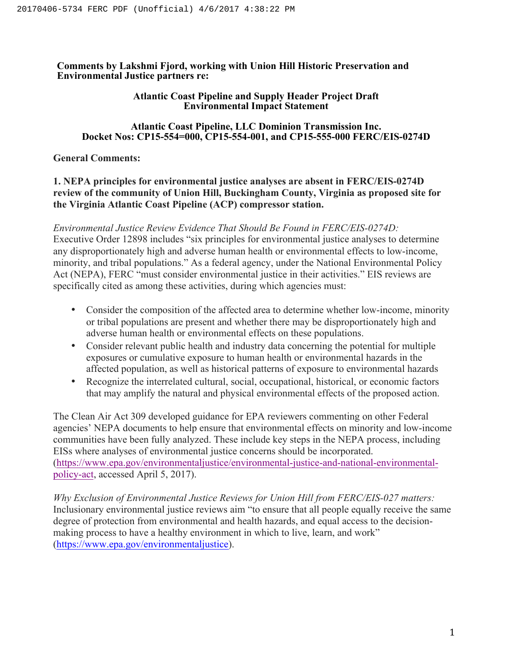**Comments by Lakshmi Fjord, working with Union Hill Historic Preservation and Environmental Justice partners re:** 

## **Atlantic Coast Pipeline and Supply Header Project Draft Environmental Impact Statement**

# **Atlantic Coast Pipeline, LLC Dominion Transmission Inc. Docket Nos: CP15-554=000, CP15-554-001, and CP15-555-000 FERC/EIS-0274D**

# **General Comments:**

# **1. NEPA principles for environmental justice analyses are absent in FERC/EIS-0274D review of the community of Union Hill, Buckingham County, Virginia as proposed site for the Virginia Atlantic Coast Pipeline (ACP) compressor station.**

*Environmental Justice Review Evidence That Should Be Found in FERC/EIS-0274D:*  Executive Order 12898 includes "six principles for environmental justice analyses to determine any disproportionately high and adverse human health or environmental effects to low-income, minority, and tribal populations." As a federal agency, under the National Environmental Policy Act (NEPA), FERC "must consider environmental justice in their activities." EIS reviews are specifically cited as among these activities, during which agencies must:

- Consider the composition of the affected area to determine whether low-income, minority or tribal populations are present and whether there may be disproportionately high and adverse human health or environmental effects on these populations.
- Consider relevant public health and industry data concerning the potential for multiple exposures or cumulative exposure to human health or environmental hazards in the affected population, as well as historical patterns of exposure to environmental hazards
- Recognize the interrelated cultural, social, occupational, historical, or economic factors that may amplify the natural and physical environmental effects of the proposed action.

The Clean Air Act 309 developed guidance for EPA reviewers commenting on other Federal agencies' NEPA documents to help ensure that environmental effects on minority and low-income communities have been fully analyzed. These include key steps in the NEPA process, including EISs where analyses of environmental justice concerns should be incorporated. (https://www.epa.gov/environmentaljustice/environmental-justice-and-national-environmentalpolicy-act, accessed April 5, 2017).

*Why Exclusion of Environmental Justice Reviews for Union Hill from FERC/EIS-027 matters:*  Inclusionary environmental justice reviews aim "to ensure that all people equally receive the same degree of protection from environmental and health hazards, and equal access to the decisionmaking process to have a healthy environment in which to live, learn, and work" (https://www.epa.gov/environmentaljustice).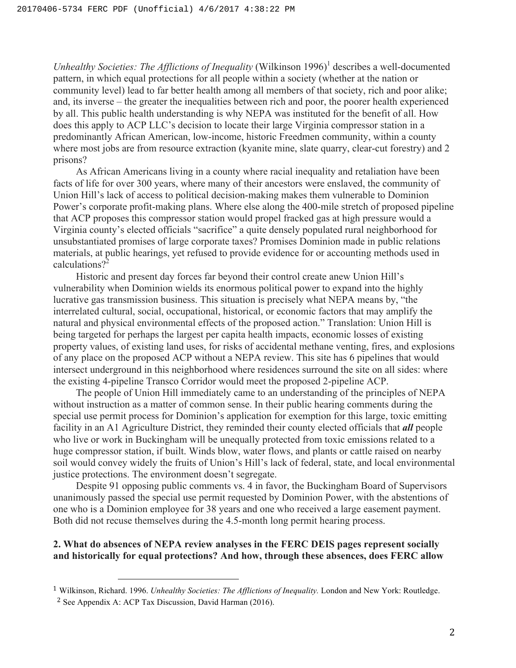*Unhealthy Societies: The Afflictions of Inequality* (Wilkinson 1996)<sup>1</sup> describes a well-documented pattern, in which equal protections for all people within a society (whether at the nation or community level) lead to far better health among all members of that society, rich and poor alike; and, its inverse – the greater the inequalities between rich and poor, the poorer health experienced by all. This public health understanding is why NEPA was instituted for the benefit of all. How does this apply to ACP LLC's decision to locate their large Virginia compressor station in a predominantly African American, low-income, historic Freedmen community, within a county where most jobs are from resource extraction (kyanite mine, slate quarry, clear-cut forestry) and 2 prisons?

 As African Americans living in a county where racial inequality and retaliation have been facts of life for over 300 years, where many of their ancestors were enslaved, the community of Union Hill's lack of access to political decision-making makes them vulnerable to Dominion Power's corporate profit-making plans. Where else along the 400-mile stretch of proposed pipeline that ACP proposes this compressor station would propel fracked gas at high pressure would a Virginia county's elected officials "sacrifice" a quite densely populated rural neighborhood for unsubstantiated promises of large corporate taxes? Promises Dominion made in public relations materials, at public hearings, yet refused to provide evidence for or accounting methods used in calculations? 2

Historic and present day forces far beyond their control create anew Union Hill's vulnerability when Dominion wields its enormous political power to expand into the highly lucrative gas transmission business. This situation is precisely what NEPA means by, "the interrelated cultural, social, occupational, historical, or economic factors that may amplify the natural and physical environmental effects of the proposed action." Translation: Union Hill is being targeted for perhaps the largest per capita health impacts, economic losses of existing property values, of existing land uses, for risks of accidental methane venting, fires, and explosions of any place on the proposed ACP without a NEPA review. This site has 6 pipelines that would intersect underground in this neighborhood where residences surround the site on all sides: where the existing 4-pipeline Transco Corridor would meet the proposed 2-pipeline ACP.

The people of Union Hill immediately came to an understanding of the principles of NEPA without instruction as a matter of common sense. In their public hearing comments during the special use permit process for Dominion's application for exemption for this large, toxic emitting facility in an A1 Agriculture District, they reminded their county elected officials that *all* people who live or work in Buckingham will be unequally protected from toxic emissions related to a huge compressor station, if built. Winds blow, water flows, and plants or cattle raised on nearby soil would convey widely the fruits of Union's Hill's lack of federal, state, and local environmental justice protections. The environment doesn't segregate.

Despite 91 opposing public comments vs. 4 in favor, the Buckingham Board of Supervisors unanimously passed the special use permit requested by Dominion Power, with the abstentions of one who is a Dominion employee for 38 years and one who received a large easement payment. Both did not recuse themselves during the 4.5-month long permit hearing process.

# **2. What do absences of NEPA review analyses in the FERC DEIS pages represent socially and historically for equal protections? And how, through these absences, does FERC allow**

 

<sup>1</sup> Wilkinson, Richard. 1996. *Unhealthy Societies: The Afflictions of Inequality.* London and New York: Routledge.

<sup>2</sup> See Appendix A: ACP Tax Discussion, David Harman (2016).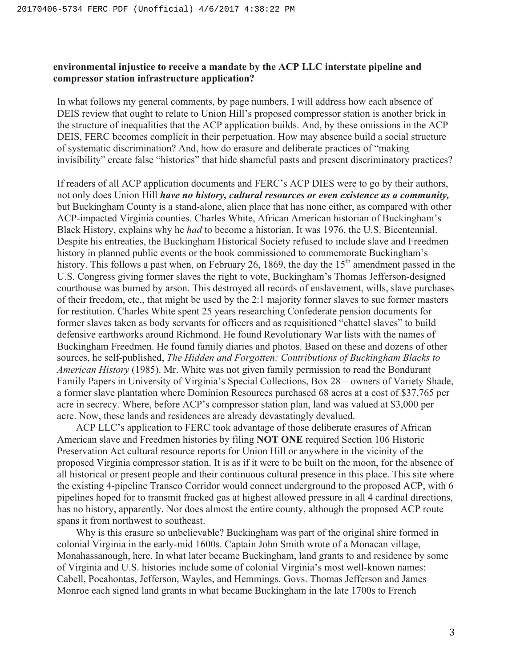# **environmental injustice to receive a mandate by the ACP LLC interstate pipeline and compressor station infrastructure application?**

In what follows my general comments, by page numbers, I will address how each absence of DEIS review that ought to relate to Union Hill's proposed compressor station is another brick in the structure of inequalities that the ACP application builds. And, by these omissions in the ACP DEIS, FERC becomes complicit in their perpetuation. How may absence build a social structure of systematic discrimination? And, how do erasure and deliberate practices of "making invisibility" create false "histories" that hide shameful pasts and present discriminatory practices?

If readers of all ACP application documents and FERC's ACP DIES were to go by their authors, not only does Union Hill *have no history, cultural resources or even existence as a community,* but Buckingham County is a stand-alone, alien place that has none either, as compared with other ACP-impacted Virginia counties. Charles White, African American historian of Buckingham's Black History, explains why he *had* to become a historian. It was 1976, the U.S. Bicentennial. Despite his entreaties, the Buckingham Historical Society refused to include slave and Freedmen history in planned public events or the book commissioned to commemorate Buckingham's history. This follows a past when, on February 26, 1869, the day the  $15<sup>th</sup>$  amendment passed in the U.S. Congress giving former slaves the right to vote, Buckingham's Thomas Jefferson-designed courthouse was burned by arson. This destroyed all records of enslavement, wills, slave purchases of their freedom, etc., that might be used by the 2:1 majority former slaves to sue former masters for restitution. Charles White spent 25 years researching Confederate pension documents for former slaves taken as body servants for officers and as requisitioned "chattel slaves" to build defensive earthworks around Richmond. He found Revolutionary War lists with the names of Buckingham Freedmen. He found family diaries and photos. Based on these and dozens of other sources, he self-published, *The Hidden and Forgotten: Contributions of Buckingham Blacks to American History* (1985). Mr. White was not given family permission to read the Bondurant Family Papers in University of Virginia's Special Collections, Box 28 – owners of Variety Shade, a former slave plantation where Dominion Resources purchased 68 acres at a cost of \$37,765 per acre in secrecy. Where, before ACP's compressor station plan, land was valued at \$3,000 per acre. Now, these lands and residences are already devastatingly devalued.

ACP LLC's application to FERC took advantage of those deliberate erasures of African American slave and Freedmen histories by filing **NOT ONE** required Section 106 Historic Preservation Act cultural resource reports for Union Hill or anywhere in the vicinity of the proposed Virginia compressor station. It is as if it were to be built on the moon, for the absence of all historical or present people and their continuous cultural presence in this place. This site where the existing 4-pipeline Transco Corridor would connect underground to the proposed ACP, with 6 pipelines hoped for to transmit fracked gas at highest allowed pressure in all 4 cardinal directions, has no history, apparently. Nor does almost the entire county, although the proposed ACP route spans it from northwest to southeast.

Why is this erasure so unbelievable? Buckingham was part of the original shire formed in colonial Virginia in the early-mid 1600s. Captain John Smith wrote of a Monacan village, Monahassanough, here. In what later became Buckingham, land grants to and residence by some of Virginia and U.S. histories include some of colonial Virginia's most well-known names: Cabell, Pocahontas, Jefferson, Wayles, and Hemmings. Govs. Thomas Jefferson and James Monroe each signed land grants in what became Buckingham in the late 1700s to French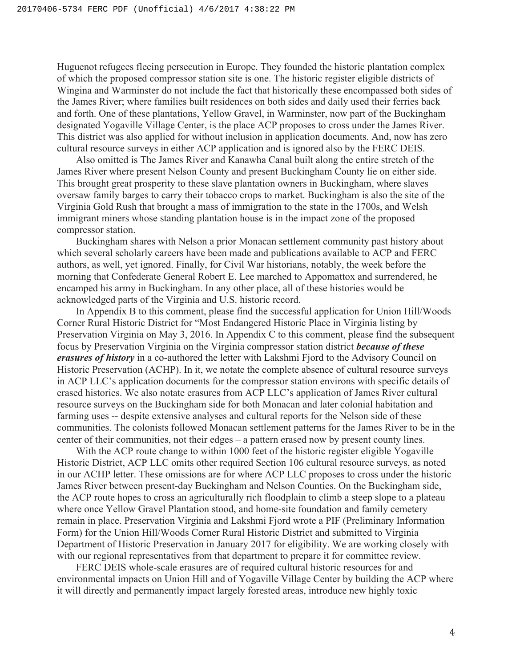Huguenot refugees fleeing persecution in Europe. They founded the historic plantation complex of which the proposed compressor station site is one. The historic register eligible districts of Wingina and Warminster do not include the fact that historically these encompassed both sides of the James River; where families built residences on both sides and daily used their ferries back and forth. One of these plantations, Yellow Gravel, in Warminster, now part of the Buckingham designated Yogaville Village Center, is the place ACP proposes to cross under the James River. This district was also applied for without inclusion in application documents. And, now has zero cultural resource surveys in either ACP application and is ignored also by the FERC DEIS.

Also omitted is The James River and Kanawha Canal built along the entire stretch of the James River where present Nelson County and present Buckingham County lie on either side. This brought great prosperity to these slave plantation owners in Buckingham, where slaves oversaw family barges to carry their tobacco crops to market. Buckingham is also the site of the Virginia Gold Rush that brought a mass of immigration to the state in the 1700s, and Welsh immigrant miners whose standing plantation house is in the impact zone of the proposed compressor station.

Buckingham shares with Nelson a prior Monacan settlement community past history about which several scholarly careers have been made and publications available to ACP and FERC authors, as well, yet ignored. Finally, for Civil War historians, notably, the week before the morning that Confederate General Robert E. Lee marched to Appomattox and surrendered, he encamped his army in Buckingham. In any other place, all of these histories would be acknowledged parts of the Virginia and U.S. historic record.

In Appendix B to this comment, please find the successful application for Union Hill/Woods Corner Rural Historic District for "Most Endangered Historic Place in Virginia listing by Preservation Virginia on May 3, 2016. In Appendix C to this comment, please find the subsequent focus by Preservation Virginia on the Virginia compressor station district *because of these erasures of history* in a co-authored the letter with Lakshmi Fjord to the Advisory Council on Historic Preservation (ACHP). In it, we notate the complete absence of cultural resource surveys in ACP LLC's application documents for the compressor station environs with specific details of erased histories. We also notate erasures from ACP LLC's application of James River cultural resource surveys on the Buckingham side for both Monacan and later colonial habitation and farming uses -- despite extensive analyses and cultural reports for the Nelson side of these communities. The colonists followed Monacan settlement patterns for the James River to be in the center of their communities, not their edges – a pattern erased now by present county lines.

With the ACP route change to within 1000 feet of the historic register eligible Yogaville Historic District, ACP LLC omits other required Section 106 cultural resource surveys, as noted in our ACHP letter. These omissions are for where ACP LLC proposes to cross under the historic James River between present-day Buckingham and Nelson Counties. On the Buckingham side, the ACP route hopes to cross an agriculturally rich floodplain to climb a steep slope to a plateau where once Yellow Gravel Plantation stood, and home-site foundation and family cemetery remain in place. Preservation Virginia and Lakshmi Fjord wrote a PIF (Preliminary Information Form) for the Union Hill/Woods Corner Rural Historic District and submitted to Virginia Department of Historic Preservation in January 2017 for eligibility. We are working closely with with our regional representatives from that department to prepare it for committee review.

FERC DEIS whole-scale erasures are of required cultural historic resources for and environmental impacts on Union Hill and of Yogaville Village Center by building the ACP where it will directly and permanently impact largely forested areas, introduce new highly toxic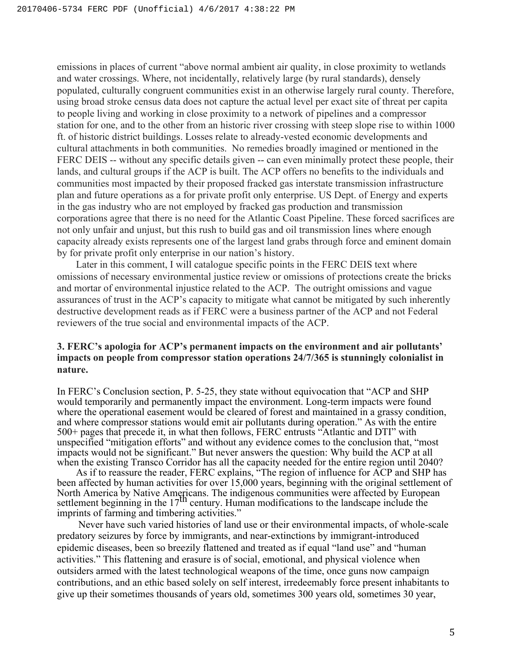emissions in places of current "above normal ambient air quality, in close proximity to wetlands and water crossings. Where, not incidentally, relatively large (by rural standards), densely populated, culturally congruent communities exist in an otherwise largely rural county. Therefore, using broad stroke census data does not capture the actual level per exact site of threat per capita to people living and working in close proximity to a network of pipelines and a compressor station for one, and to the other from an historic river crossing with steep slope rise to within 1000 ft. of historic district buildings. Losses relate to already-vested economic developments and cultural attachments in both communities. No remedies broadly imagined or mentioned in the FERC DEIS -- without any specific details given -- can even minimally protect these people, their lands, and cultural groups if the ACP is built. The ACP offers no benefits to the individuals and communities most impacted by their proposed fracked gas interstate transmission infrastructure plan and future operations as a for private profit only enterprise. US Dept. of Energy and experts in the gas industry who are not employed by fracked gas production and transmission corporations agree that there is no need for the Atlantic Coast Pipeline. These forced sacrifices are not only unfair and unjust, but this rush to build gas and oil transmission lines where enough capacity already exists represents one of the largest land grabs through force and eminent domain by for private profit only enterprise in our nation's history.

Later in this comment, I will catalogue specific points in the FERC DEIS text where omissions of necessary environmental justice review or omissions of protections create the bricks and mortar of environmental injustice related to the ACP. The outright omissions and vague assurances of trust in the ACP's capacity to mitigate what cannot be mitigated by such inherently destructive development reads as if FERC were a business partner of the ACP and not Federal reviewers of the true social and environmental impacts of the ACP.

# **3. FERC's apologia for ACP's permanent impacts on the environment and air pollutants' impacts on people from compressor station operations 24/7/365 is stunningly colonialist in nature.**

In FERC's Conclusion section, P. 5-25, they state without equivocation that "ACP and SHP would temporarily and permanently impact the environment. Long-term impacts were found where the operational easement would be cleared of forest and maintained in a grassy condition, and where compressor stations would emit air pollutants during operation." As with the entire 500+ pages that precede it, in what then follows, FERC entrusts "Atlantic and DTI" with unspecified "mitigation efforts" and without any evidence comes to the conclusion that, "most impacts would not be significant." But never answers the question: Why build the ACP at all when the existing Transco Corridor has all the capacity needed for the entire region until 2040?

As if to reassure the reader, FERC explains, "The region of influence for ACP and SHP has been affected by human activities for over 15,000 years, beginning with the original settlement of North America by Native Americans. The indigenous communities were affected by European settlement beginning in the 17<sup>th</sup> century. Human modifications to the landscape include the imprints of farming and timbering activities."

Never have such varied histories of land use or their environmental impacts, of whole-scale predatory seizures by force by immigrants, and near-extinctions by immigrant-introduced epidemic diseases, been so breezily flattened and treated as if equal "land use" and "human activities." This flattening and erasure is of social, emotional, and physical violence when outsiders armed with the latest technological weapons of the time, once guns now campaign contributions, and an ethic based solely on self interest, irredeemably force present inhabitants to give up their sometimes thousands of years old, sometimes 300 years old, sometimes 30 year,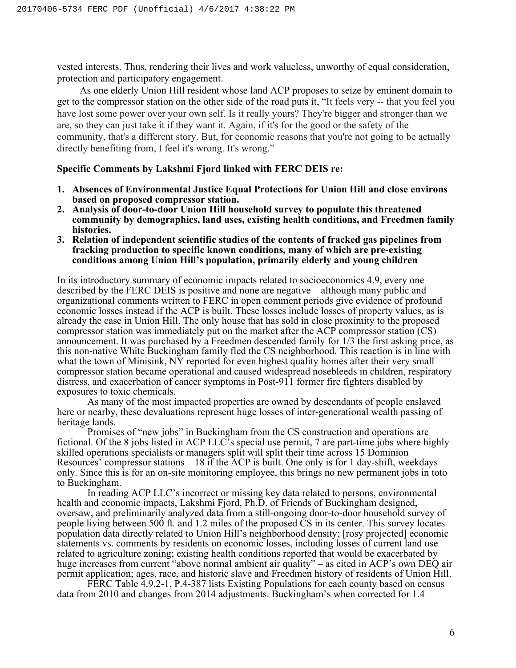vested interests. Thus, rendering their lives and work valueless, unworthy of equal consideration, protection and participatory engagement.

As one elderly Union Hill resident whose land ACP proposes to seize by eminent domain to get to the compressor station on the other side of the road puts it, "It feels very -- that you feel you have lost some power over your own self. Is it really yours? They're bigger and stronger than we are, so they can just take it if they want it. Again, if it's for the good or the safety of the community, that's a different story. But, for economic reasons that you're not going to be actually directly benefiting from, I feel it's wrong. It's wrong."

#### **Specific Comments by Lakshmi Fjord linked with FERC DEIS re:**

- **1. Absences of Environmental Justice Equal Protections for Union Hill and close environs**
- **based on proposed compressor station. 2. Analysis of door-to-door Union Hill household survey to populate this threatened community by demographics, land uses, existing health conditions, and Freedmen family histories.**
- **3. Relation of independent scientific studies of the contents of fracked gas pipelines from fracking production to specific known conditions, many of which are pre-existing conditions among Union Hill's population, primarily elderly and young children**

In its introductory summary of economic impacts related to socioeconomics 4.9, every one described by the FERC DEIS is positive and none are negative – although many public and organizational comments written to FERC in open comment periods give evidence of profound economic losses instead if the ACP is built. These losses include losses of property values, as is already the case in Union Hill. The only house that has sold in close proximity to the proposed compressor station was immediately put on the market after the ACP compressor station (CS) announcement. It was purchased by a Freedmen descended family for 1/3 the first asking price, as this non-native White Buckingham family fled the CS neighborhood. This reaction is in line with what the town of Minisink, NY reported for even highest quality homes after their very small compressor station became operational and caused widespread nosebleeds in children, respiratory distress, and exacerbation of cancer symptoms in Post-911 former fire fighters disabled by exposures to toxic chemicals.

As many of the most impacted properties are owned by descendants of people enslaved here or nearby, these devaluations represent huge losses of inter-generational wealth passing of heritage lands.

Promises of "new jobs" in Buckingham from the CS construction and operations are fictional. Of the 8 jobs listed in ACP LLC's special use permit, 7 are part-time jobs where highly skilled operations specialists or managers split will split their time across 15 Dominion Resources' compressor stations – 18 if the ACP is built. One only is for 1 day-shift, weekdays only. Since this is for an on-site monitoring employee, this brings no new permanent jobs in toto to Buckingham.

In reading ACP LLC's incorrect or missing key data related to persons, environmental health and economic impacts, Lakshmi Fjord, Ph.D. of Friends of Buckingham designed, oversaw, and preliminarily analyzed data from a still-ongoing door-to-door household survey of people living between 500 ft. and 1.2 miles of the proposed CS in its center. This survey locates population data directly related to Union Hill's neighborhood density; [rosy projected] economic statements vs. comments by residents on economic losses, including losses of current land use related to agriculture zoning; existing health conditions reported that would be exacerbated by huge increases from current "above normal ambient air quality" – as cited in ACP's own DEO air permit application; ages, race, and historic slave and Freedmen history of residents of Union Hill.

FERC Table 4.9.2-1, P.4-387 lists Existing Populations for each county based on census data from 2010 and changes from 2014 adjustments. Buckingham's when corrected for 1.4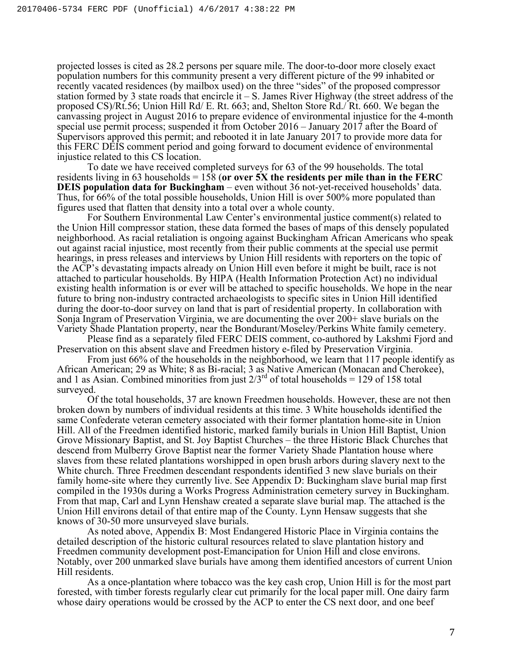projected losses is cited as 28.2 persons per square mile. The door-to-door more closely exact population numbers for this community present a very different picture of the 99 inhabited or recently vacated residences (by mailbox used) on the three "sides" of the proposed compressor station formed by 3 state roads that encircle it  $-$  S. James River Highway (the street address of the proposed CS)/Rt.56; Union Hill Rd/ E. Rt. 663; and, Shelton Store Rd./ Rt. 660. We began the canvassing project in August 2016 to prepare evidence of environmental injustice for the 4-month special use permit process; suspended it from October 2016 – January 2017 after the Board of Supervisors approved this permit; and rebooted it in late January 2017 to provide more data for this FERC DEIS comment period and going forward to document evidence of environmental injustice related to this CS location.

To date we have received completed surveys for 63 of the 99 households. The total residents living in 63 households  $= 158$  (or over  $5X$  the residents per mile than in the FERC **DEIS population data for Buckingham** – even without 36 not-yet-received households' data. Thus, for 66% of the total possible households, Union Hill is over 500% more populated than figures used that flatten that density into a total over a whole county.

For Southern Environmental Law Center's environmental justice comment(s) related to the Union Hill compressor station, these data formed the bases of maps of this densely populated neighborhood. As racial retaliation is ongoing against Buckingham African Americans who speak out against racial injustice, most recently from their public comments at the special use permit hearings, in press releases and interviews by Union Hill residents with reporters on the topic of the ACP's devastating impacts already on Union Hill even before it might be built, race is not attached to particular households. By HIPA (Health Information Protection Act) no individual existing health information is or ever will be attached to specific households. We hope in the near future to bring non-industry contracted archaeologists to specific sites in Union Hill identified during the door-to-door survey on land that is part of residential property. In collaboration with Sonja Ingram of Preservation Virginia, we are documenting the over 200+ slave burials on the Variety Shade Plantation property, near the Bondurant/Moseley/Perkins White family cemetery.

Please find as a separately filed FERC DEIS comment, co-authored by Lakshmi Fjord and Preservation on this absent slave and Freedmen history e-filed by Preservation Virginia.

From just 66% of the households in the neighborhood, we learn that 117 people identify as African American; 29 as White; 8 as Bi-racial; 3 as Native American (Monacan and Cherokee), and 1 as Asian. Combined minorities from just  $2/3^{rd}$  of total households = 129 of 158 total surveyed.

Of the total households, 37 are known Freedmen households. However, these are not then broken down by numbers of individual residents at this time. 3 White households identified the same Confederate veteran cemetery associated with their former plantation home-site in Union Hill. All of the Freedmen identified historic, marked family burials in Union Hill Baptist, Union Grove Missionary Baptist, and St. Joy Baptist Churches – the three Historic Black Churches that descend from Mulberry Grove Baptist near the former Variety Shade Plantation house where slaves from these related plantations worshipped in open brush arbors during slavery next to the White church. Three Freedmen descendant respondents identified 3 new slave burials on their family home-site where they currently live. See Appendix D: Buckingham slave burial map first compiled in the 1930s during a Works Progress Administration cemetery survey in Buckingham. From that map, Carl and Lynn Henshaw created a separate slave burial map. The attached is the Union Hill environs detail of that entire map of the County. Lynn Hensaw suggests that she knows of 30-50 more unsurveyed slave burials.

As noted above, Appendix B: Most Endangered Historic Place in Virginia contains the detailed description of the historic cultural resources related to slave plantation history and Freedmen community development post-Emancipation for Union Hill and close environs. Notably, over 200 unmarked slave burials have among them identified ancestors of current Union Hill residents.

As a once-plantation where tobacco was the key cash crop, Union Hill is for the most part forested, with timber forests regularly clear cut primarily for the local paper mill. One dairy farm whose dairy operations would be crossed by the ACP to enter the CS next door, and one beef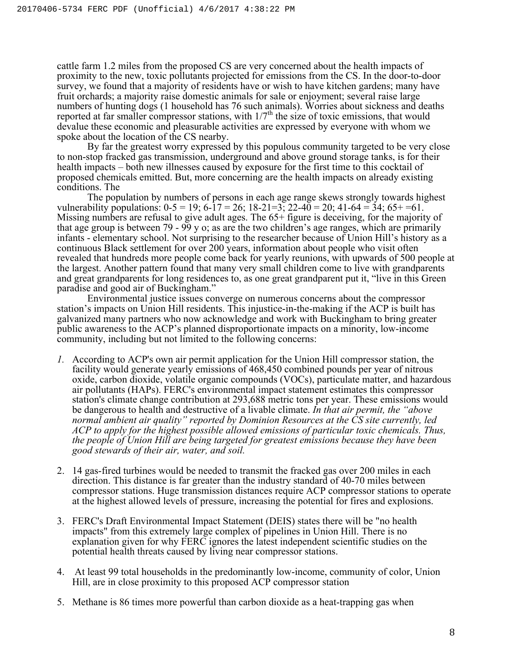cattle farm 1.2 miles from the proposed CS are very concerned about the health impacts of proximity to the new, toxic pollutants projected for emissions from the CS. In the door-to-door survey, we found that a majority of residents have or wish to have kitchen gardens; many have fruit orchards; a majority raise domestic animals for sale or enjoyment; several raise large numbers of hunting dogs (1 household has 76 such animals). Worries about sickness and deaths reported at far smaller compressor stations, with  $1/7<sup>th</sup>$  the size of toxic emissions, that would devalue these economic and pleasurable activities are expressed by everyone with whom we spoke about the location of the CS nearby.

By far the greatest worry expressed by this populous community targeted to be very close to non-stop fracked gas transmission, underground and above ground storage tanks, is for their health impacts – both new illnesses caused by exposure for the first time to this cocktail of proposed chemicals emitted. But, more concerning are the health impacts on already existing conditions. The

The population by numbers of persons in each age range skews strongly towards highest vulnerability populations:  $0-5 = 19$ ;  $6-17 = 26$ ;  $18-21=3$ ;  $22-40 = 20$ ;  $41-64 = 34$ ;  $65+61$ . Missing numbers are refusal to give adult ages. The 65+ figure is deceiving, for the majority of that age group is between 79 - 99 y o; as are the two children's age ranges, which are primarily infants - elementary school. Not surprising to the researcher because of Union Hill's history as a continuous Black settlement for over 200 years, information about people who visit often revealed that hundreds more people come back for yearly reunions, with upwards of 500 people at the largest. Another pattern found that many very small children come to live with grandparents and great grandparents for long residences to, as one great grandparent put it, "live in this Green paradise and good air of Buckingham."

Environmental justice issues converge on numerous concerns about the compressor station's impacts on Union Hill residents. This injustice-in-the-making if the ACP is built has galvanized many partners who now acknowledge and work with Buckingham to bring greater public awareness to the ACP's planned disproportionate impacts on a minority, low-income community, including but not limited to the following concerns:

- *1.* According to ACP's own air permit application for the Union Hill compressor station, the facility would generate yearly emissions of 468,450 combined pounds per year of nitrous oxide, carbon dioxide, volatile organic compounds (VOCs), particulate matter, and hazardous air pollutants (HAPs). FERC's environmental impact statement estimates this compressor station's climate change contribution at 293,688 metric tons per year. These emissions would be dangerous to health and destructive of a livable climate. *In that air permit, the "above normal ambient air quality" reported by Dominion Resources at the CS site currently, led ACP to apply for the highest possible allowed emissions of particular toxic chemicals. Thus, the people of Union Hill are being targeted for greatest emissions because they have been good stewards of their air, water, and soil.*
- 2. 14 gas-fired turbines would be needed to transmit the fracked gas over 200 miles in each direction. This distance is far greater than the industry standard of 40-70 miles between compressor stations. Huge transmission distances require ACP compressor stations to operate at the highest allowed levels of pressure, increasing the potential for fires and explosions.
- 3. FERC's Draft Environmental Impact Statement (DEIS) states there will be "no health impacts" from this extremely large complex of pipelines in Union Hill. There is no explanation given for why FERC ignores the latest independent scientific studies on the potential health threats caused by living near compressor stations.
- 4. At least 99 total households in the predominantly low-income, community of color, Union Hill, are in close proximity to this proposed ACP compressor station
- 5. Methane is 86 times more powerful than carbon dioxide as a heat-trapping gas when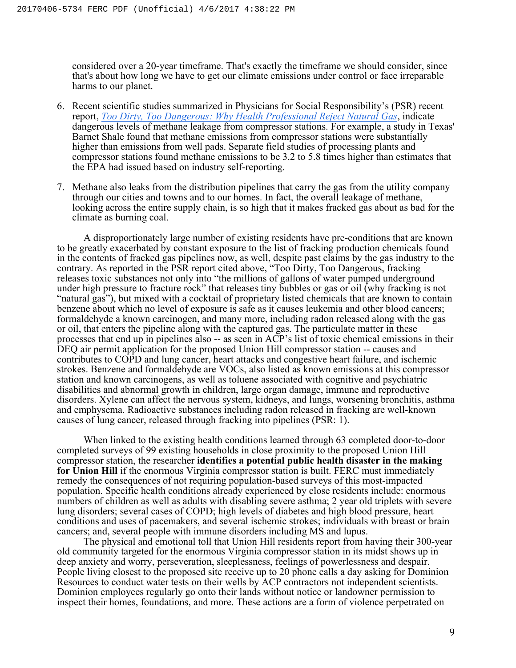considered over a 20-year timeframe. That's exactly the timeframe we should consider, since that's about how long we have to get our climate emissions under control or face irreparable harms to our planet.

- 6. Recent scientific studies summarized in Physicians for Social Responsibility's (PSR) recent report, *Too Dirty, Too Dangerous: Why Health Professional Reject Natural Gas*, indicate dangerous levels of methane leakage from compressor stations. For example, a study in Texas' Barnet Shale found that methane emissions from compressor stations were substantially higher than emissions from well pads. Separate field studies of processing plants and compressor stations found methane emissions to be 3.2 to 5.8 times higher than estimates that the EPA had issued based on industry self-reporting.
- 7. Methane also leaks from the distribution pipelines that carry the gas from the utility company through our cities and towns and to our homes. In fact, the overall leakage of methane, looking across the entire supply chain, is so high that it makes fracked gas about as bad for the climate as burning coal.

A disproportionately large number of existing residents have pre-conditions that are known to be greatly exacerbated by constant exposure to the list of fracking production chemicals found in the contents of fracked gas pipelines now, as well, despite past claims by the gas industry to the contrary. As reported in the PSR report cited above, "Too Dirty, Too Dangerous, fracking releases toxic substances not only into "the millions of gallons of water pumped underground under high pressure to fracture rock" that releases tiny bubbles or gas or oil (why fracking is not "natural gas"), but mixed with a cocktail of proprietary listed chemicals that are known to contain benzene about which no level of exposure is safe as it causes leukemia and other blood cancers; formaldehyde a known carcinogen, and many more, including radon released along with the gas or oil, that enters the pipeline along with the captured gas. The particulate matter in these processes that end up in pipelines also -- as seen in ACP's list of toxic chemical emissions in their DEQ air permit application for the proposed Union Hill compressor station -- causes and contributes to COPD and lung cancer, heart attacks and congestive heart failure, and ischemic strokes. Benzene and formaldehyde are VOCs, also listed as known emissions at this compressor station and known carcinogens, as well as toluene associated with cognitive and psychiatric disabilities and abnormal growth in children, large organ damage, immune and reproductive disorders. Xylene can affect the nervous system, kidneys, and lungs, worsening bronchitis, asthma and emphysema. Radioactive substances including radon released in fracking are well-known causes of lung cancer, released through fracking into pipelines (PSR: 1).

When linked to the existing health conditions learned through 63 completed door-to-door completed surveys of 99 existing households in close proximity to the proposed Union Hill compressor station, the researcher **identifies a potential public health disaster in the making for Union Hill** if the enormous Virginia compressor station is built. FERC must immediately remedy the consequences of not requiring population-based surveys of this most-impacted population. Specific health conditions already experienced by close residents include: enormous numbers of children as well as adults with disabling severe asthma; 2 year old triplets with severe lung disorders; several cases of COPD; high levels of diabetes and high blood pressure, heart conditions and uses of pacemakers, and several ischemic strokes; individuals with breast or brain cancers; and, several people with immune disorders including MS and lupus.

The physical and emotional toll that Union Hill residents report from having their 300-year old community targeted for the enormous Virginia compressor station in its midst shows up in deep anxiety and worry, perseveration, sleeplessness, feelings of powerlessness and despair. People living closest to the proposed site receive up to 20 phone calls a day asking for Dominion Resources to conduct water tests on their wells by ACP contractors not independent scientists. Dominion employees regularly go onto their lands without notice or landowner permission to inspect their homes, foundations, and more. These actions are a form of violence perpetrated on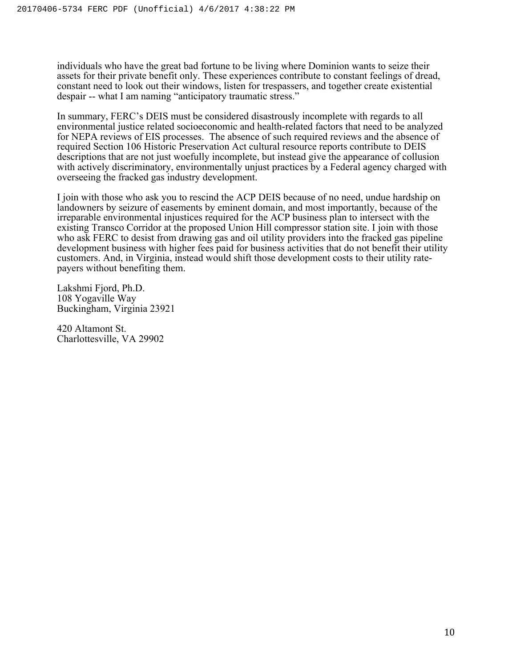individuals who have the great bad fortune to be living where Dominion wants to seize their assets for their private benefit only. These experiences contribute to constant feelings of dread, constant need to look out their windows, listen for trespassers, and together create existential despair -- what I am naming "anticipatory traumatic stress."

In summary, FERC's DEIS must be considered disastrously incomplete with regards to all environmental justice related socioeconomic and health-related factors that need to be analyzed for NEPA reviews of EIS processes. The absence of such required reviews and the absence of required Section 106 Historic Preservation Act cultural resource reports contribute to DEIS descriptions that are not just woefully incomplete, but instead give the appearance of collusion with actively discriminatory, environmentally unjust practices by a Federal agency charged with overseeing the fracked gas industry development.

I join with those who ask you to rescind the ACP DEIS because of no need, undue hardship on landowners by seizure of easements by eminent domain, and most importantly, because of the irreparable environmental injustices required for the ACP business plan to intersect with the existing Transco Corridor at the proposed Union Hill compressor station site. I join with those who ask FERC to desist from drawing gas and oil utility providers into the fracked gas pipeline development business with higher fees paid for business activities that do not benefit their utility customers. And, in Virginia, instead would shift those development costs to their utility ratepayers without benefiting them.

Lakshmi Fjord, Ph.D. 108 Yogaville Way Buckingham, Virginia 23921

420 Altamont St. Charlottesville, VA 29902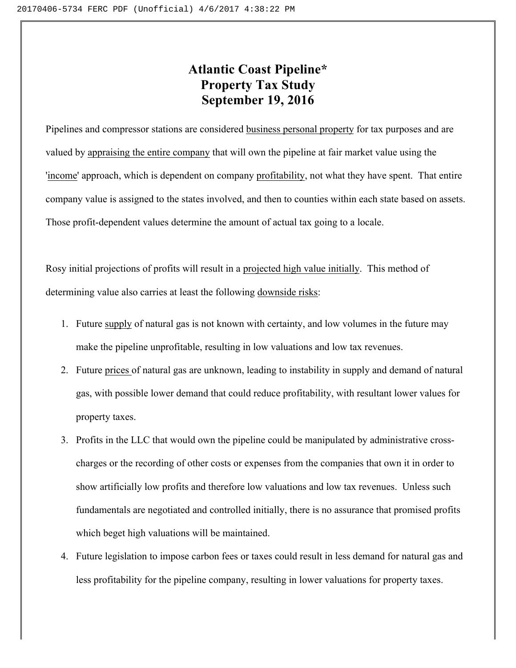# **Atlantic Coast Pipeline\* Property Tax Study September 19, 2016**

Pipelines and compressor stations are considered business personal property for tax purposes and are valued by appraising the entire company that will own the pipeline at fair market value using the 'income' approach, which is dependent on company profitability, not what they have spent. That entire company value is assigned to the states involved, and then to counties within each state based on assets. Those profit-dependent values determine the amount of actual tax going to a locale.

Rosy initial projections of profits will result in a projected high value initially. This method of determining value also carries at least the following downside risks:

- 1. Future supply of natural gas is not known with certainty, and low volumes in the future may make the pipeline unprofitable, resulting in low valuations and low tax revenues.
- 2. Future prices of natural gas are unknown, leading to instability in supply and demand of natural gas, with possible lower demand that could reduce profitability, with resultant lower values for property taxes.
- 3. Profits in the LLC that would own the pipeline could be manipulated by administrative crosscharges or the recording of other costs or expenses from the companies that own it in order to show artificially low profits and therefore low valuations and low tax revenues. Unless such fundamentals are negotiated and controlled initially, there is no assurance that promised profits which beget high valuations will be maintained.
- 4. Future legislation to impose carbon fees or taxes could result in less demand for natural gas and less profitability for the pipeline company, resulting in lower valuations for property taxes.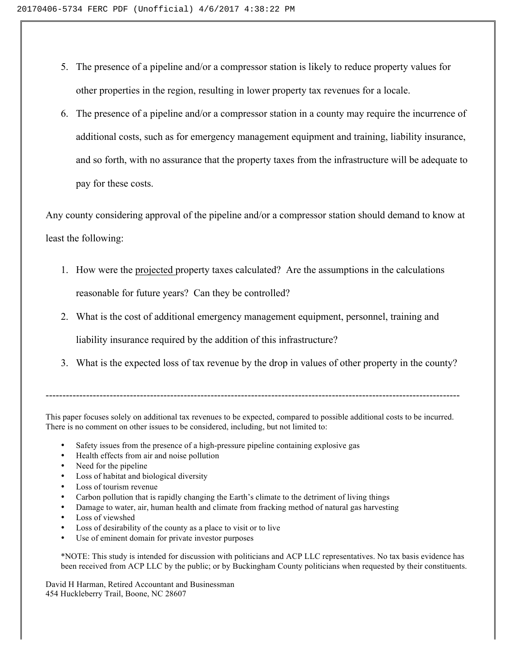- 5. The presence of a pipeline and/or a compressor station is likely to reduce property values for other properties in the region, resulting in lower property tax revenues for a locale.
- 6. The presence of a pipeline and/or a compressor station in a county may require the incurrence of additional costs, such as for emergency management equipment and training, liability insurance, and so forth, with no assurance that the property taxes from the infrastructure will be adequate to pay for these costs.

Any county considering approval of the pipeline and/or a compressor station should demand to know at least the following:

- 1. How were the projected property taxes calculated? Are the assumptions in the calculations reasonable for future years? Can they be controlled?
- 2. What is the cost of additional emergency management equipment, personnel, training and liability insurance required by the addition of this infrastructure?
- 3. What is the expected loss of tax revenue by the drop in values of other property in the county?

---------------------------------------------------------------------------------------------------------------------------

This paper focuses solely on additional tax revenues to be expected, compared to possible additional costs to be incurred. There is no comment on other issues to be considered, including, but not limited to:

- Safety issues from the presence of a high-pressure pipeline containing explosive gas
- Health effects from air and noise pollution
- Need for the pipeline
- Loss of habitat and biological diversity
- Loss of tourism revenue
- Carbon pollution that is rapidly changing the Earth's climate to the detriment of living things
- Damage to water, air, human health and climate from fracking method of natural gas harvesting
- Loss of viewshed
- Loss of desirability of the county as a place to visit or to live
- Use of eminent domain for private investor purposes

\*NOTE: This study is intended for discussion with politicians and ACP LLC representatives. No tax basis evidence has been received from ACP LLC by the public; or by Buckingham County politicians when requested by their constituents.

David H Harman, Retired Accountant and Businessman 454 Huckleberry Trail, Boone, NC 28607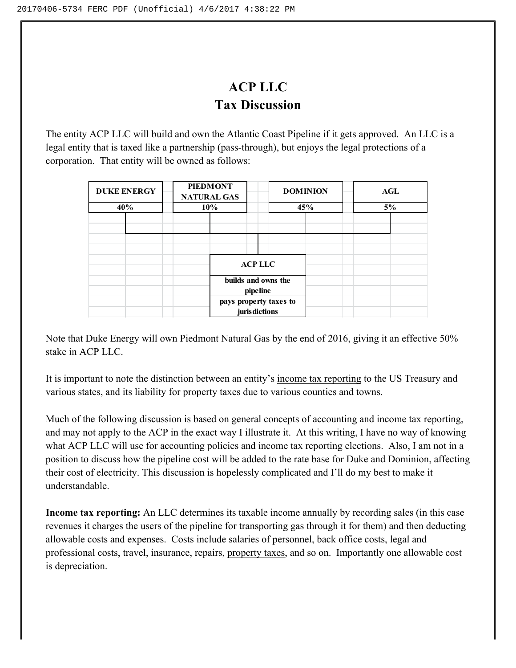# **ACP LLC Tax Discussion**

The entity ACP LLC will build and own the Atlantic Coast Pipeline if it gets approved. An LLC is a legal entity that is taxed like a partnership (pass-through), but enjoys the legal protections of a corporation. That entity will be owned as follows:

| <b>DUKE ENERGY</b> | <b>PIEDMONT</b><br><b>NATURAL GAS</b> |                                          | <b>DOMINION</b> | <b>AGL</b> |
|--------------------|---------------------------------------|------------------------------------------|-----------------|------------|
| 40%                | 10%                                   |                                          | 45%             | 5%         |
|                    |                                       |                                          |                 |            |
|                    |                                       |                                          |                 |            |
|                    |                                       |                                          |                 |            |
|                    |                                       |                                          |                 |            |
|                    |                                       | <b>ACPLLC</b>                            |                 |            |
|                    |                                       | builds and owns the                      |                 |            |
|                    |                                       | pipeline                                 |                 |            |
|                    |                                       | pays property taxes to<br>juris dictions |                 |            |
|                    |                                       |                                          |                 |            |

Note that Duke Energy will own Piedmont Natural Gas by the end of 2016, giving it an effective 50% stake in ACP LLC.

It is important to note the distinction between an entity's income tax reporting to the US Treasury and various states, and its liability for property taxes due to various counties and towns.

Much of the following discussion is based on general concepts of accounting and income tax reporting, and may not apply to the ACP in the exact way I illustrate it. At this writing, I have no way of knowing what ACP LLC will use for accounting policies and income tax reporting elections. Also, I am not in a position to discuss how the pipeline cost will be added to the rate base for Duke and Dominion, affecting their cost of electricity. This discussion is hopelessly complicated and I'll do my best to make it understandable.

**Income tax reporting:** An LLC determines its taxable income annually by recording sales (in this case revenues it charges the users of the pipeline for transporting gas through it for them) and then deducting allowable costs and expenses. Costs include salaries of personnel, back office costs, legal and professional costs, travel, insurance, repairs, property taxes, and so on. Importantly one allowable cost is depreciation.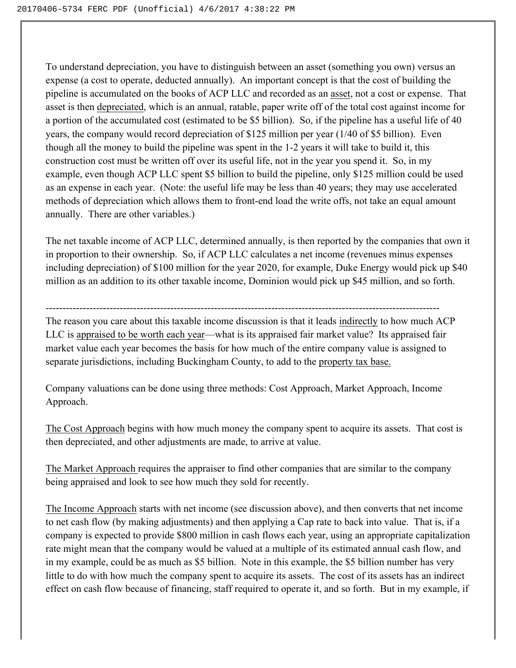To understand depreciation, you have to distinguish between an asset (something you own) versus an expense (a cost to operate, deducted annually). An important concept is that the cost of building the pipeline is accumulated on the books of ACP LLC and recorded as an asset, not a cost or expense. That asset is then depreciated, which is an annual, ratable, paper write off of the total cost against income for a portion of the accumulated cost (estimated to be \$5 billion). So, if the pipeline has a useful life of 40 years, the company would record depreciation of \$125 million per year (1/40 of \$5 billion). Even though all the money to build the pipeline was spent in the 1-2 years it will take to build it, this construction cost must be written off over its useful life, not in the year you spend it. So, in my example, even though ACP LLC spent \$5 billion to build the pipeline, only \$125 million could be used as an expense in each year. (Note: the useful life may be less than 40 years; they may use accelerated methods of depreciation which allows them to front-end load the write offs, not take an equal amount annually. There are other variables.)

The net taxable income of ACP LLC, determined annually, is then reported by the companies that own it in proportion to their ownership. So, if ACP LLC calculates a net income (revenues minus expenses including depreciation) of \$100 million for the year 2020, for example, Duke Energy would pick up \$40 million as an addition to its other taxable income, Dominion would pick up \$45 million, and so forth.

--------------------------------------------------------------------------------------------------------------------- The reason you care about this taxable income discussion is that it leads indirectly to how much ACP LLC is appraised to be worth each year—what is its appraised fair market value? Its appraised fair market value each year becomes the basis for how much of the entire company value is assigned to

separate jurisdictions, including Buckingham County, to add to the property tax base.

Company valuations can be done using three methods: Cost Approach, Market Approach, Income Approach.

The Cost Approach begins with how much money the company spent to acquire its assets. That cost is then depreciated, and other adjustments are made, to arrive at value.

The Market Approach requires the appraiser to find other companies that are similar to the company being appraised and look to see how much they sold for recently.

The Income Approach starts with net income (see discussion above), and then converts that net income to net cash flow (by making adjustments) and then applying a Cap rate to back into value. That is, if a company is expected to provide \$800 million in cash flows each year, using an appropriate capitalization rate might mean that the company would be valued at a multiple of its estimated annual cash flow, and in my example, could be as much as \$5 billion. Note in this example, the \$5 billion number has very little to do with how much the company spent to acquire its assets. The cost of its assets has an indirect effect on cash flow because of financing, staff required to operate it, and so forth. But in my example, if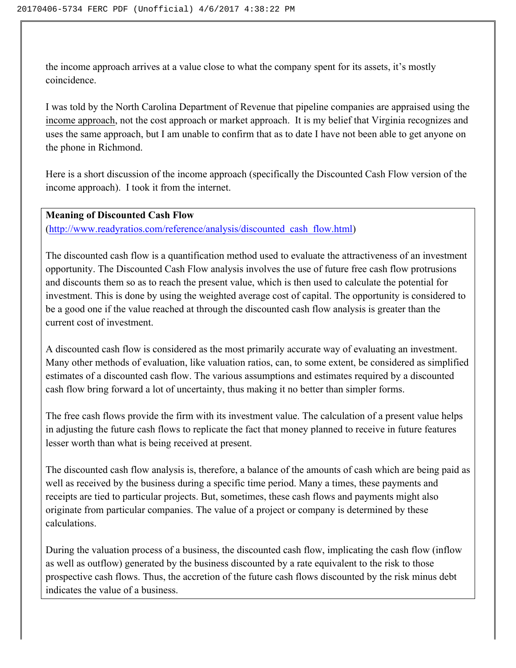the income approach arrives at a value close to what the company spent for its assets, it's mostly coincidence.

I was told by the North Carolina Department of Revenue that pipeline companies are appraised using the income approach, not the cost approach or market approach. It is my belief that Virginia recognizes and uses the same approach, but I am unable to confirm that as to date I have not been able to get anyone on the phone in Richmond.

Here is a short discussion of the income approach (specifically the Discounted Cash Flow version of the income approach). I took it from the internet.

# **Meaning of Discounted Cash Flow**

(http://www.readyratios.com/reference/analysis/discounted\_cash\_flow.html)

The discounted cash flow is a quantification method used to evaluate the attractiveness of an investment opportunity. The Discounted Cash Flow analysis involves the use of future free cash flow protrusions and discounts them so as to reach the present value, which is then used to calculate the potential for investment. This is done by using the weighted average cost of capital. The opportunity is considered to be a good one if the value reached at through the discounted cash flow analysis is greater than the current cost of investment.

A discounted cash flow is considered as the most primarily accurate way of evaluating an investment. Many other methods of evaluation, like valuation ratios, can, to some extent, be considered as simplified estimates of a discounted cash flow. The various assumptions and estimates required by a discounted cash flow bring forward a lot of uncertainty, thus making it no better than simpler forms.

The free cash flows provide the firm with its investment value. The calculation of a present value helps in adjusting the future cash flows to replicate the fact that money planned to receive in future features lesser worth than what is being received at present.

The discounted cash flow analysis is, therefore, a balance of the amounts of cash which are being paid as well as received by the business during a specific time period. Many a times, these payments and receipts are tied to particular projects. But, sometimes, these cash flows and payments might also originate from particular companies. The value of a project or company is determined by these calculations.

During the valuation process of a business, the discounted cash flow, implicating the cash flow (inflow as well as outflow) generated by the business discounted by a rate equivalent to the risk to those prospective cash flows. Thus, the accretion of the future cash flows discounted by the risk minus debt indicates the value of a business.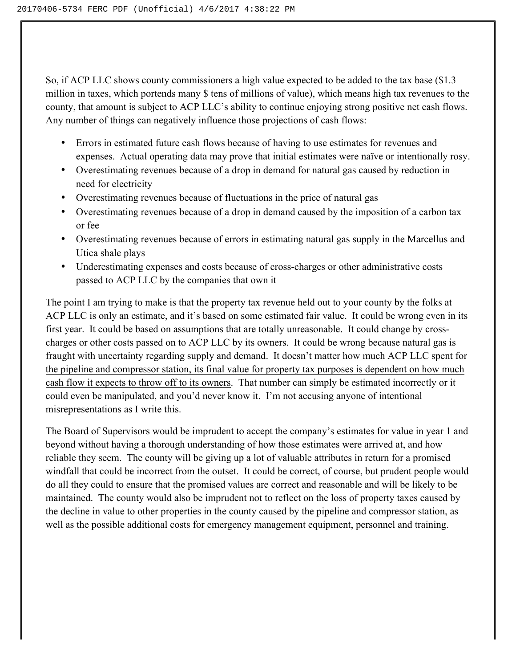So, if ACP LLC shows county commissioners a high value expected to be added to the tax base (\$1.3 million in taxes, which portends many \$ tens of millions of value), which means high tax revenues to the county, that amount is subject to ACP LLC's ability to continue enjoying strong positive net cash flows. Any number of things can negatively influence those projections of cash flows:

- Errors in estimated future cash flows because of having to use estimates for revenues and expenses. Actual operating data may prove that initial estimates were naïve or intentionally rosy.
- Overestimating revenues because of a drop in demand for natural gas caused by reduction in need for electricity
- Overestimating revenues because of fluctuations in the price of natural gas
- Overestimating revenues because of a drop in demand caused by the imposition of a carbon tax or fee
- Overestimating revenues because of errors in estimating natural gas supply in the Marcellus and Utica shale plays
- Underestimating expenses and costs because of cross-charges or other administrative costs passed to ACP LLC by the companies that own it

The point I am trying to make is that the property tax revenue held out to your county by the folks at ACP LLC is only an estimate, and it's based on some estimated fair value. It could be wrong even in its first year. It could be based on assumptions that are totally unreasonable. It could change by crosscharges or other costs passed on to ACP LLC by its owners. It could be wrong because natural gas is fraught with uncertainty regarding supply and demand. It doesn't matter how much ACP LLC spent for the pipeline and compressor station, its final value for property tax purposes is dependent on how much cash flow it expects to throw off to its owners. That number can simply be estimated incorrectly or it could even be manipulated, and you'd never know it. I'm not accusing anyone of intentional misrepresentations as I write this.

The Board of Supervisors would be imprudent to accept the company's estimates for value in year 1 and beyond without having a thorough understanding of how those estimates were arrived at, and how reliable they seem. The county will be giving up a lot of valuable attributes in return for a promised windfall that could be incorrect from the outset. It could be correct, of course, but prudent people would do all they could to ensure that the promised values are correct and reasonable and will be likely to be maintained. The county would also be imprudent not to reflect on the loss of property taxes caused by the decline in value to other properties in the county caused by the pipeline and compressor station, as well as the possible additional costs for emergency management equipment, personnel and training.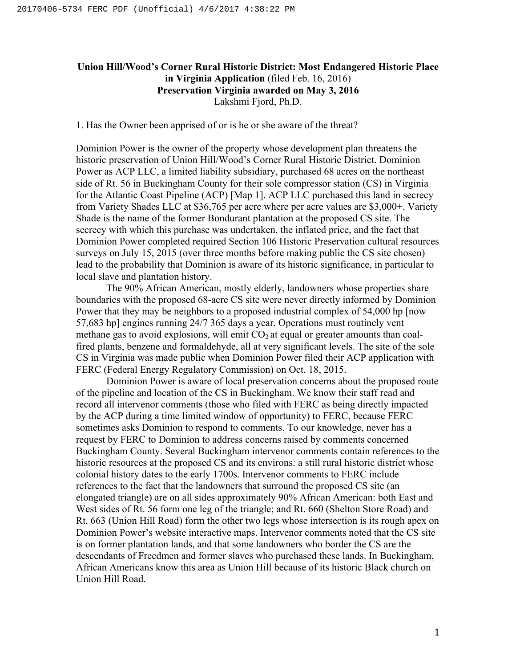# **Union Hill/Wood's Corner Rural Historic District: Most Endangered Historic Place in Virginia Application** (filed Feb. 16, 2016) **Preservation Virginia awarded on May 3, 2016**  Lakshmi Fjord, Ph.D.

1. Has the Owner been apprised of or is he or she aware of the threat?

Dominion Power is the owner of the property whose development plan threatens the historic preservation of Union Hill/Wood's Corner Rural Historic District. Dominion Power as ACP LLC, a limited liability subsidiary, purchased 68 acres on the northeast side of Rt. 56 in Buckingham County for their sole compressor station (CS) in Virginia for the Atlantic Coast Pipeline (ACP) [Map 1]. ACP LLC purchased this land in secrecy from Variety Shades LLC at \$36,765 per acre where per acre values are \$3,000+. Variety Shade is the name of the former Bondurant plantation at the proposed CS site. The secrecy with which this purchase was undertaken, the inflated price, and the fact that Dominion Power completed required Section 106 Historic Preservation cultural resources surveys on July 15, 2015 (over three months before making public the CS site chosen) lead to the probability that Dominion is aware of its historic significance, in particular to local slave and plantation history.

The 90% African American, mostly elderly, landowners whose properties share boundaries with the proposed 68-acre CS site were never directly informed by Dominion Power that they may be neighbors to a proposed industrial complex of 54,000 hp [now 57,683 hp] engines running 24/7 365 days a year. Operations must routinely vent methane gas to avoid explosions, will emit  $CO<sub>2</sub>$  at equal or greater amounts than coalfired plants, benzene and formaldehyde, all at very significant levels. The site of the sole CS in Virginia was made public when Dominion Power filed their ACP application with FERC (Federal Energy Regulatory Commission) on Oct. 18, 2015.

 Dominion Power is aware of local preservation concerns about the proposed route of the pipeline and location of the CS in Buckingham. We know their staff read and record all intervenor comments (those who filed with FERC as being directly impacted by the ACP during a time limited window of opportunity) to FERC, because FERC sometimes asks Dominion to respond to comments. To our knowledge, never has a request by FERC to Dominion to address concerns raised by comments concerned Buckingham County. Several Buckingham intervenor comments contain references to the historic resources at the proposed CS and its environs: a still rural historic district whose colonial history dates to the early 1700s. Intervenor comments to FERC include references to the fact that the landowners that surround the proposed CS site (an elongated triangle) are on all sides approximately 90% African American: both East and West sides of Rt. 56 form one leg of the triangle; and Rt. 660 (Shelton Store Road) and Rt. 663 (Union Hill Road) form the other two legs whose intersection is its rough apex on Dominion Power's website interactive maps. Intervenor comments noted that the CS site is on former plantation lands, and that some landowners who border the CS are the descendants of Freedmen and former slaves who purchased these lands. In Buckingham, African Americans know this area as Union Hill because of its historic Black church on Union Hill Road.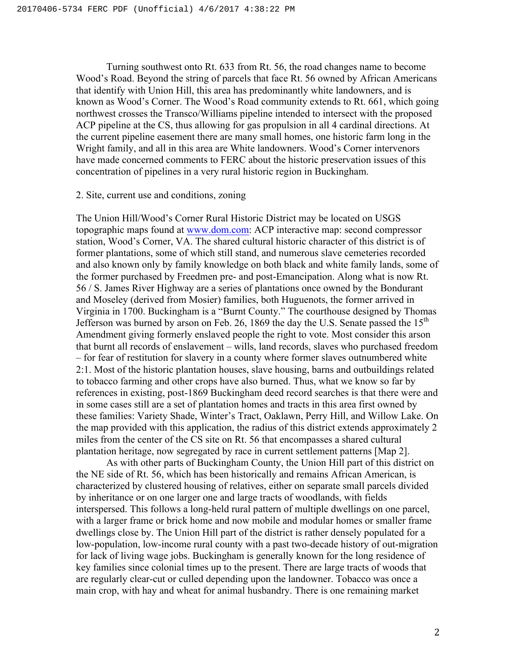Turning southwest onto Rt. 633 from Rt. 56, the road changes name to become Wood's Road. Beyond the string of parcels that face Rt. 56 owned by African Americans that identify with Union Hill, this area has predominantly white landowners, and is known as Wood's Corner. The Wood's Road community extends to Rt. 661, which going northwest crosses the Transco/Williams pipeline intended to intersect with the proposed ACP pipeline at the CS, thus allowing for gas propulsion in all 4 cardinal directions. At the current pipeline easement there are many small homes, one historic farm long in the Wright family, and all in this area are White landowners. Wood's Corner intervenors have made concerned comments to FERC about the historic preservation issues of this concentration of pipelines in a very rural historic region in Buckingham.

# 2. Site, current use and conditions, zoning

The Union Hill/Wood's Corner Rural Historic District may be located on USGS topographic maps found at www.dom.com: ACP interactive map: second compressor station, Wood's Corner, VA. The shared cultural historic character of this district is of former plantations, some of which still stand, and numerous slave cemeteries recorded and also known only by family knowledge on both black and white family lands, some of the former purchased by Freedmen pre- and post-Emancipation. Along what is now Rt. 56 / S. James River Highway are a series of plantations once owned by the Bondurant and Moseley (derived from Mosier) families, both Huguenots, the former arrived in Virginia in 1700. Buckingham is a "Burnt County." The courthouse designed by Thomas Jefferson was burned by arson on Feb. 26, 1869 the day the U.S. Senate passed the  $15<sup>th</sup>$ Amendment giving formerly enslaved people the right to vote. Most consider this arson that burnt all records of enslavement – wills, land records, slaves who purchased freedom – for fear of restitution for slavery in a county where former slaves outnumbered white 2:1. Most of the historic plantation houses, slave housing, barns and outbuildings related to tobacco farming and other crops have also burned. Thus, what we know so far by references in existing, post-1869 Buckingham deed record searches is that there were and in some cases still are a set of plantation homes and tracts in this area first owned by these families: Variety Shade, Winter's Tract, Oaklawn, Perry Hill, and Willow Lake. On the map provided with this application, the radius of this district extends approximately 2 miles from the center of the CS site on Rt. 56 that encompasses a shared cultural plantation heritage, now segregated by race in current settlement patterns [Map 2].

As with other parts of Buckingham County, the Union Hill part of this district on the NE side of Rt. 56, which has been historically and remains African American, is characterized by clustered housing of relatives, either on separate small parcels divided by inheritance or on one larger one and large tracts of woodlands, with fields interspersed. This follows a long-held rural pattern of multiple dwellings on one parcel, with a larger frame or brick home and now mobile and modular homes or smaller frame dwellings close by. The Union Hill part of the district is rather densely populated for a low-population, low-income rural county with a past two-decade history of out-migration for lack of living wage jobs. Buckingham is generally known for the long residence of key families since colonial times up to the present. There are large tracts of woods that are regularly clear-cut or culled depending upon the landowner. Tobacco was once a main crop, with hay and wheat for animal husbandry. There is one remaining market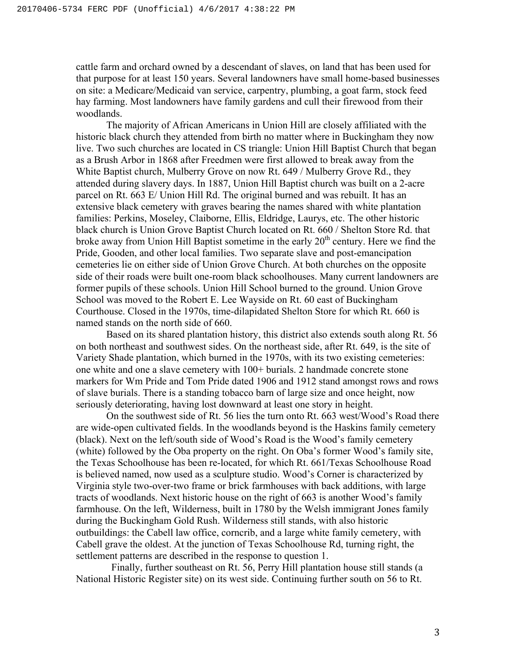cattle farm and orchard owned by a descendant of slaves, on land that has been used for that purpose for at least 150 years. Several landowners have small home-based businesses on site: a Medicare/Medicaid van service, carpentry, plumbing, a goat farm, stock feed hay farming. Most landowners have family gardens and cull their firewood from their woodlands.

The majority of African Americans in Union Hill are closely affiliated with the historic black church they attended from birth no matter where in Buckingham they now live. Two such churches are located in CS triangle: Union Hill Baptist Church that began as a Brush Arbor in 1868 after Freedmen were first allowed to break away from the White Baptist church, Mulberry Grove on now Rt. 649 / Mulberry Grove Rd., they attended during slavery days. In 1887, Union Hill Baptist church was built on a 2-acre parcel on Rt. 663 E/ Union Hill Rd. The original burned and was rebuilt. It has an extensive black cemetery with graves bearing the names shared with white plantation families: Perkins, Moseley, Claiborne, Ellis, Eldridge, Laurys, etc. The other historic black church is Union Grove Baptist Church located on Rt. 660 / Shelton Store Rd. that broke away from Union Hill Baptist sometime in the early  $20<sup>th</sup>$  century. Here we find the Pride, Gooden, and other local families. Two separate slave and post-emancipation cemeteries lie on either side of Union Grove Church. At both churches on the opposite side of their roads were built one-room black schoolhouses. Many current landowners are former pupils of these schools. Union Hill School burned to the ground. Union Grove School was moved to the Robert E. Lee Wayside on Rt. 60 east of Buckingham Courthouse. Closed in the 1970s, time-dilapidated Shelton Store for which Rt. 660 is named stands on the north side of 660.

Based on its shared plantation history, this district also extends south along Rt. 56 on both northeast and southwest sides. On the northeast side, after Rt. 649, is the site of Variety Shade plantation, which burned in the 1970s, with its two existing cemeteries: one white and one a slave cemetery with 100+ burials. 2 handmade concrete stone markers for Wm Pride and Tom Pride dated 1906 and 1912 stand amongst rows and rows of slave burials. There is a standing tobacco barn of large size and once height, now seriously deteriorating, having lost downward at least one story in height.

On the southwest side of Rt. 56 lies the turn onto Rt. 663 west/Wood's Road there are wide-open cultivated fields. In the woodlands beyond is the Haskins family cemetery (black). Next on the left/south side of Wood's Road is the Wood's family cemetery (white) followed by the Oba property on the right. On Oba's former Wood's family site, the Texas Schoolhouse has been re-located, for which Rt. 661/Texas Schoolhouse Road is believed named, now used as a sculpture studio. Wood's Corner is characterized by Virginia style two-over-two frame or brick farmhouses with back additions, with large tracts of woodlands. Next historic house on the right of 663 is another Wood's family farmhouse. On the left, Wilderness, built in 1780 by the Welsh immigrant Jones family during the Buckingham Gold Rush. Wilderness still stands, with also historic outbuildings: the Cabell law office, corncrib, and a large white family cemetery, with Cabell grave the oldest. At the junction of Texas Schoolhouse Rd, turning right, the settlement patterns are described in the response to question 1.

 Finally, further southeast on Rt. 56, Perry Hill plantation house still stands (a National Historic Register site) on its west side. Continuing further south on 56 to Rt.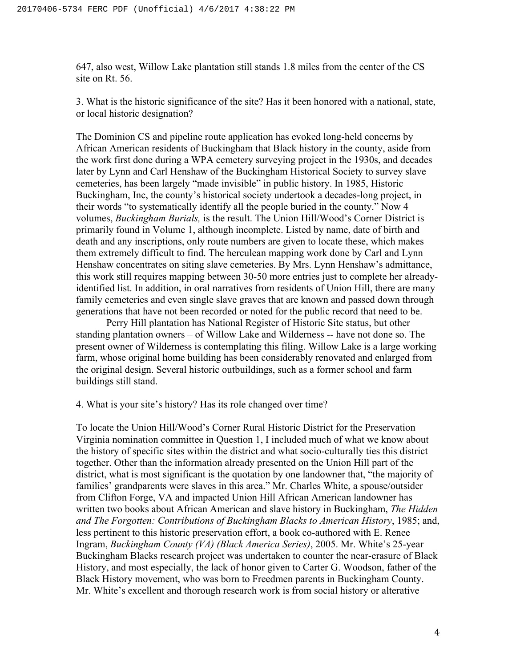647, also west, Willow Lake plantation still stands 1.8 miles from the center of the CS site on Rt. 56.

3. What is the historic significance of the site? Has it been honored with a national, state, or local historic designation?

The Dominion CS and pipeline route application has evoked long-held concerns by African American residents of Buckingham that Black history in the county, aside from the work first done during a WPA cemetery surveying project in the 1930s, and decades later by Lynn and Carl Henshaw of the Buckingham Historical Society to survey slave cemeteries, has been largely "made invisible" in public history. In 1985, Historic Buckingham, Inc, the county's historical society undertook a decades-long project, in their words "to systematically identify all the people buried in the county." Now 4 volumes, *Buckingham Burials,* is the result. The Union Hill/Wood's Corner District is primarily found in Volume 1, although incomplete. Listed by name, date of birth and death and any inscriptions, only route numbers are given to locate these, which makes them extremely difficult to find. The herculean mapping work done by Carl and Lynn Henshaw concentrates on siting slave cemeteries. By Mrs. Lynn Henshaw's admittance, this work still requires mapping between 30-50 more entries just to complete her alreadyidentified list. In addition, in oral narratives from residents of Union Hill, there are many family cemeteries and even single slave graves that are known and passed down through generations that have not been recorded or noted for the public record that need to be.

Perry Hill plantation has National Register of Historic Site status, but other standing plantation owners – of Willow Lake and Wilderness -- have not done so. The present owner of Wilderness is contemplating this filing. Willow Lake is a large working farm, whose original home building has been considerably renovated and enlarged from the original design. Several historic outbuildings, such as a former school and farm buildings still stand.

4. What is your site's history? Has its role changed over time?

To locate the Union Hill/Wood's Corner Rural Historic District for the Preservation Virginia nomination committee in Question 1, I included much of what we know about the history of specific sites within the district and what socio-culturally ties this district together. Other than the information already presented on the Union Hill part of the district, what is most significant is the quotation by one landowner that, "the majority of families' grandparents were slaves in this area." Mr. Charles White, a spouse/outsider from Clifton Forge, VA and impacted Union Hill African American landowner has written two books about African American and slave history in Buckingham, *The Hidden and The Forgotten: Contributions of Buckingham Blacks to American History*, 1985; and, less pertinent to this historic preservation effort, a book co-authored with E. Renee Ingram, *Buckingham County (VA) (Black America Series)*, 2005. Mr. White's 25-year Buckingham Blacks research project was undertaken to counter the near-erasure of Black History, and most especially, the lack of honor given to Carter G. Woodson, father of the Black History movement, who was born to Freedmen parents in Buckingham County. Mr. White's excellent and thorough research work is from social history or alterative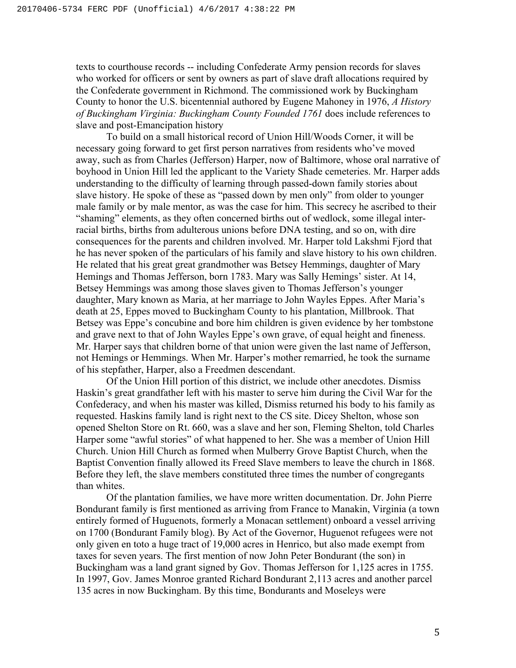texts to courthouse records -- including Confederate Army pension records for slaves who worked for officers or sent by owners as part of slave draft allocations required by the Confederate government in Richmond. The commissioned work by Buckingham County to honor the U.S. bicentennial authored by Eugene Mahoney in 1976, *A History of Buckingham Virginia: Buckingham County Founded 1761* does include references to slave and post-Emancipation history

To build on a small historical record of Union Hill/Woods Corner, it will be necessary going forward to get first person narratives from residents who've moved away, such as from Charles (Jefferson) Harper, now of Baltimore, whose oral narrative of boyhood in Union Hill led the applicant to the Variety Shade cemeteries. Mr. Harper adds understanding to the difficulty of learning through passed-down family stories about slave history. He spoke of these as "passed down by men only" from older to younger male family or by male mentor, as was the case for him. This secrecy he ascribed to their "shaming" elements, as they often concerned births out of wedlock, some illegal interracial births, births from adulterous unions before DNA testing, and so on, with dire consequences for the parents and children involved. Mr. Harper told Lakshmi Fjord that he has never spoken of the particulars of his family and slave history to his own children. He related that his great great grandmother was Betsey Hemmings, daughter of Mary Hemings and Thomas Jefferson, born 1783. Mary was Sally Hemings' sister. At 14, Betsey Hemmings was among those slaves given to Thomas Jefferson's younger daughter, Mary known as Maria, at her marriage to John Wayles Eppes. After Maria's death at 25, Eppes moved to Buckingham County to his plantation, Millbrook. That Betsey was Eppe's concubine and bore him children is given evidence by her tombstone and grave next to that of John Wayles Eppe's own grave, of equal height and fineness. Mr. Harper says that children borne of that union were given the last name of Jefferson, not Hemings or Hemmings. When Mr. Harper's mother remarried, he took the surname of his stepfather, Harper, also a Freedmen descendant.

Of the Union Hill portion of this district, we include other anecdotes. Dismiss Haskin's great grandfather left with his master to serve him during the Civil War for the Confederacy, and when his master was killed, Dismiss returned his body to his family as requested. Haskins family land is right next to the CS site. Dicey Shelton, whose son opened Shelton Store on Rt. 660, was a slave and her son, Fleming Shelton, told Charles Harper some "awful stories" of what happened to her. She was a member of Union Hill Church. Union Hill Church as formed when Mulberry Grove Baptist Church, when the Baptist Convention finally allowed its Freed Slave members to leave the church in 1868. Before they left, the slave members constituted three times the number of congregants than whites.

Of the plantation families, we have more written documentation. Dr. John Pierre Bondurant family is first mentioned as arriving from France to Manakin, Virginia (a town entirely formed of Huguenots, formerly a Monacan settlement) onboard a vessel arriving on 1700 (Bondurant Family blog). By Act of the Governor, Huguenot refugees were not only given en toto a huge tract of 19,000 acres in Henrico, but also made exempt from taxes for seven years. The first mention of now John Peter Bondurant (the son) in Buckingham was a land grant signed by Gov. Thomas Jefferson for 1,125 acres in 1755. In 1997, Gov. James Monroe granted Richard Bondurant 2,113 acres and another parcel 135 acres in now Buckingham. By this time, Bondurants and Moseleys were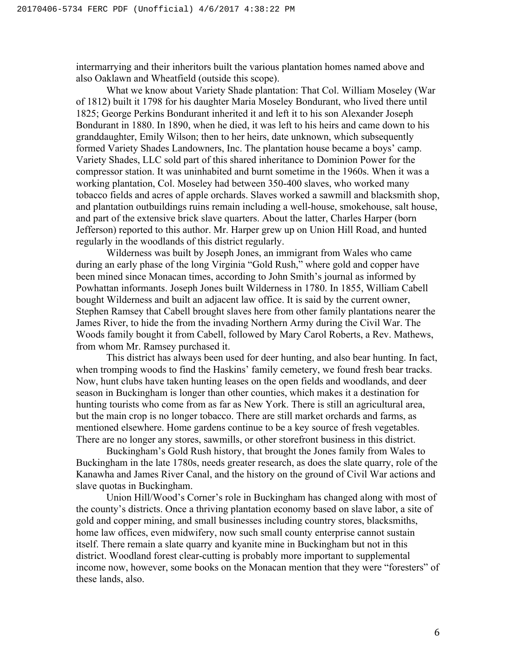intermarrying and their inheritors built the various plantation homes named above and also Oaklawn and Wheatfield (outside this scope).

What we know about Variety Shade plantation: That Col. William Moseley (War of 1812) built it 1798 for his daughter Maria Moseley Bondurant, who lived there until 1825; George Perkins Bondurant inherited it and left it to his son Alexander Joseph Bondurant in 1880. In 1890, when he died, it was left to his heirs and came down to his granddaughter, Emily Wilson; then to her heirs, date unknown, which subsequently formed Variety Shades Landowners, Inc. The plantation house became a boys' camp. Variety Shades, LLC sold part of this shared inheritance to Dominion Power for the compressor station. It was uninhabited and burnt sometime in the 1960s. When it was a working plantation, Col. Moseley had between 350-400 slaves, who worked many tobacco fields and acres of apple orchards. Slaves worked a sawmill and blacksmith shop, and plantation outbuildings ruins remain including a well-house, smokehouse, salt house, and part of the extensive brick slave quarters. About the latter, Charles Harper (born Jefferson) reported to this author. Mr. Harper grew up on Union Hill Road, and hunted regularly in the woodlands of this district regularly.

Wilderness was built by Joseph Jones, an immigrant from Wales who came during an early phase of the long Virginia "Gold Rush," where gold and copper have been mined since Monacan times, according to John Smith's journal as informed by Powhattan informants. Joseph Jones built Wilderness in 1780. In 1855, William Cabell bought Wilderness and built an adjacent law office. It is said by the current owner, Stephen Ramsey that Cabell brought slaves here from other family plantations nearer the James River, to hide the from the invading Northern Army during the Civil War. The Woods family bought it from Cabell, followed by Mary Carol Roberts, a Rev. Mathews, from whom Mr. Ramsey purchased it.

This district has always been used for deer hunting, and also bear hunting. In fact, when tromping woods to find the Haskins' family cemetery, we found fresh bear tracks. Now, hunt clubs have taken hunting leases on the open fields and woodlands, and deer season in Buckingham is longer than other counties, which makes it a destination for hunting tourists who come from as far as New York. There is still an agricultural area, but the main crop is no longer tobacco. There are still market orchards and farms, as mentioned elsewhere. Home gardens continue to be a key source of fresh vegetables. There are no longer any stores, sawmills, or other storefront business in this district.

Buckingham's Gold Rush history, that brought the Jones family from Wales to Buckingham in the late 1780s, needs greater research, as does the slate quarry, role of the Kanawha and James River Canal, and the history on the ground of Civil War actions and slave quotas in Buckingham.

Union Hill/Wood's Corner's role in Buckingham has changed along with most of the county's districts. Once a thriving plantation economy based on slave labor, a site of gold and copper mining, and small businesses including country stores, blacksmiths, home law offices, even midwifery, now such small county enterprise cannot sustain itself. There remain a slate quarry and kyanite mine in Buckingham but not in this district. Woodland forest clear-cutting is probably more important to supplemental income now, however, some books on the Monacan mention that they were "foresters" of these lands, also.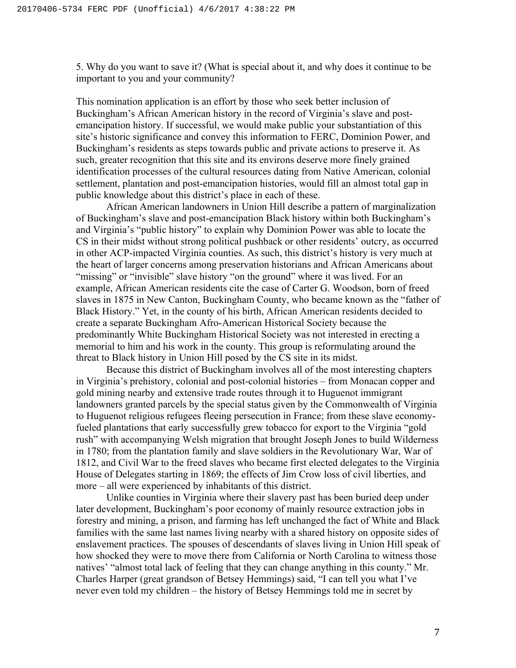5. Why do you want to save it? (What is special about it, and why does it continue to be important to you and your community?

This nomination application is an effort by those who seek better inclusion of Buckingham's African American history in the record of Virginia's slave and postemancipation history. If successful, we would make public your substantiation of this site's historic significance and convey this information to FERC, Dominion Power, and Buckingham's residents as steps towards public and private actions to preserve it. As such, greater recognition that this site and its environs deserve more finely grained identification processes of the cultural resources dating from Native American, colonial settlement, plantation and post-emancipation histories, would fill an almost total gap in public knowledge about this district's place in each of these.

African American landowners in Union Hill describe a pattern of marginalization of Buckingham's slave and post-emancipation Black history within both Buckingham's and Virginia's "public history" to explain why Dominion Power was able to locate the CS in their midst without strong political pushback or other residents' outcry, as occurred in other ACP-impacted Virginia counties. As such, this district's history is very much at the heart of larger concerns among preservation historians and African Americans about "missing" or "invisible" slave history "on the ground" where it was lived. For an example, African American residents cite the case of Carter G. Woodson, born of freed slaves in 1875 in New Canton, Buckingham County, who became known as the "father of Black History." Yet, in the county of his birth, African American residents decided to create a separate Buckingham Afro-American Historical Society because the predominantly White Buckingham Historical Society was not interested in erecting a memorial to him and his work in the county. This group is reformulating around the threat to Black history in Union Hill posed by the CS site in its midst.

Because this district of Buckingham involves all of the most interesting chapters in Virginia's prehistory, colonial and post-colonial histories – from Monacan copper and gold mining nearby and extensive trade routes through it to Huguenot immigrant landowners granted parcels by the special status given by the Commonwealth of Virginia to Huguenot religious refugees fleeing persecution in France; from these slave economyfueled plantations that early successfully grew tobacco for export to the Virginia "gold rush" with accompanying Welsh migration that brought Joseph Jones to build Wilderness in 1780; from the plantation family and slave soldiers in the Revolutionary War, War of 1812, and Civil War to the freed slaves who became first elected delegates to the Virginia House of Delegates starting in 1869; the effects of Jim Crow loss of civil liberties, and more – all were experienced by inhabitants of this district.

Unlike counties in Virginia where their slavery past has been buried deep under later development, Buckingham's poor economy of mainly resource extraction jobs in forestry and mining, a prison, and farming has left unchanged the fact of White and Black families with the same last names living nearby with a shared history on opposite sides of enslavement practices. The spouses of descendants of slaves living in Union Hill speak of how shocked they were to move there from California or North Carolina to witness those natives' "almost total lack of feeling that they can change anything in this county." Mr. Charles Harper (great grandson of Betsey Hemmings) said, "I can tell you what I've never even told my children – the history of Betsey Hemmings told me in secret by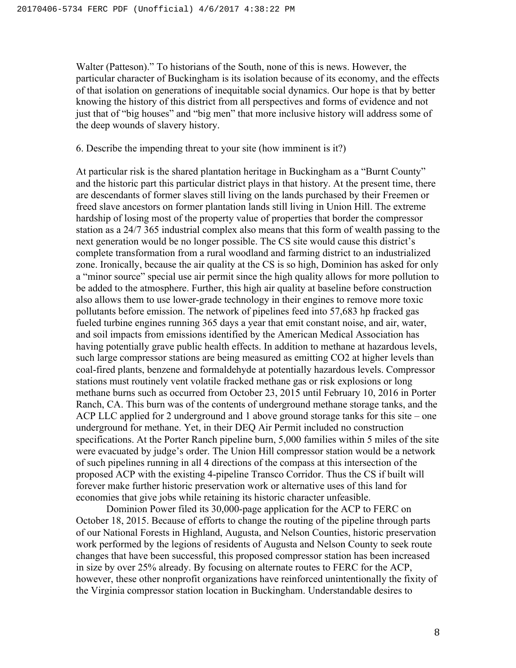Walter (Patteson)." To historians of the South, none of this is news. However, the particular character of Buckingham is its isolation because of its economy, and the effects of that isolation on generations of inequitable social dynamics. Our hope is that by better knowing the history of this district from all perspectives and forms of evidence and not just that of "big houses" and "big men" that more inclusive history will address some of the deep wounds of slavery history.

6. Describe the impending threat to your site (how imminent is it?)

At particular risk is the shared plantation heritage in Buckingham as a "Burnt County" and the historic part this particular district plays in that history. At the present time, there are descendants of former slaves still living on the lands purchased by their Freemen or freed slave ancestors on former plantation lands still living in Union Hill. The extreme hardship of losing most of the property value of properties that border the compressor station as a 24/7 365 industrial complex also means that this form of wealth passing to the next generation would be no longer possible. The CS site would cause this district's complete transformation from a rural woodland and farming district to an industrialized zone. Ironically, because the air quality at the CS is so high, Dominion has asked for only a "minor source" special use air permit since the high quality allows for more pollution to be added to the atmosphere. Further, this high air quality at baseline before construction also allows them to use lower-grade technology in their engines to remove more toxic pollutants before emission. The network of pipelines feed into 57,683 hp fracked gas fueled turbine engines running 365 days a year that emit constant noise, and air, water, and soil impacts from emissions identified by the American Medical Association has having potentially grave public health effects. In addition to methane at hazardous levels, such large compressor stations are being measured as emitting CO2 at higher levels than coal-fired plants, benzene and formaldehyde at potentially hazardous levels. Compressor stations must routinely vent volatile fracked methane gas or risk explosions or long methane burns such as occurred from October 23, 2015 until February 10, 2016 in Porter Ranch, CA. This burn was of the contents of underground methane storage tanks, and the ACP LLC applied for 2 underground and 1 above ground storage tanks for this site – one underground for methane. Yet, in their DEQ Air Permit included no construction specifications. At the Porter Ranch pipeline burn, 5,000 families within 5 miles of the site were evacuated by judge's order. The Union Hill compressor station would be a network of such pipelines running in all 4 directions of the compass at this intersection of the proposed ACP with the existing 4-pipeline Transco Corridor. Thus the CS if built will forever make further historic preservation work or alternative uses of this land for economies that give jobs while retaining its historic character unfeasible.

Dominion Power filed its 30,000-page application for the ACP to FERC on October 18, 2015. Because of efforts to change the routing of the pipeline through parts of our National Forests in Highland, Augusta, and Nelson Counties, historic preservation work performed by the legions of residents of Augusta and Nelson County to seek route changes that have been successful, this proposed compressor station has been increased in size by over 25% already. By focusing on alternate routes to FERC for the ACP, however, these other nonprofit organizations have reinforced unintentionally the fixity of the Virginia compressor station location in Buckingham. Understandable desires to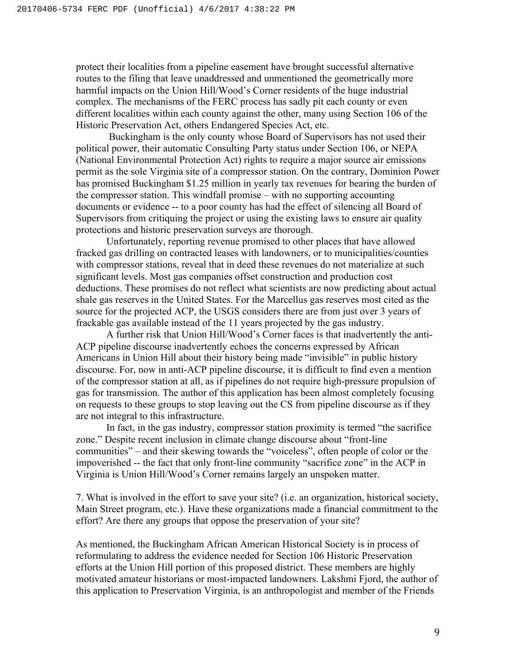protect their localities from a pipeline easement have brought successful alternative routes to the filing that leave unaddressed and unmentioned the geometrically more harmful impacts on the Union Hill/Wood's Corner residents of the huge industrial complex. The mechanisms of the FERC process has sadly pit each county or even different localities within each county against the other, many using Section 106 of the Historic Preservation Act, others Endangered Species Act, etc.

Buckingham is the only county whose Board of Supervisors has not used their political power, their automatic Consulting Party status under Section 106, or NEPA (National Environmental Protection Act) rights to require a major source air emissions permit as the sole Virginia site of a compressor station. On the contrary, Dominion Power has promised Buckingham \$1.25 million in yearly tax revenues for bearing the burden of the compressor station. This windfall promise – with no supporting accounting documents or evidence -- to a poor county has had the effect of silencing all Board of Supervisors from critiquing the project or using the existing laws to ensure air quality protections and historic preservation surveys are thorough.

Unfortunately, reporting revenue promised to other places that have allowed fracked gas drilling on contracted leases with landowners, or to municipalities/counties with compressor stations, reveal that in deed these revenues do not materialize at such significant levels. Most gas companies offset construction and production cost deductions. These promises do not reflect what scientists are now predicting about actual shale gas reserves in the United States. For the Marcellus gas reserves most cited as the source for the projected ACP, the USGS considers there are from just over 3 years of frackable gas available instead of the 11 years projected by the gas industry.

A further risk that Union Hill/Wood's Corner faces is that inadvertently the anti-ACP pipeline discourse inadvertently echoes the concerns expressed by African Americans in Union Hill about their history being made "invisible" in public history discourse. For, now in anti-ACP pipeline discourse, it is difficult to find even a mention of the compressor station at all, as if pipelines do not require high-pressure propulsion of gas for transmission. The author of this application has been almost completely focusing on requests to these groups to stop leaving out the CS from pipeline discourse as if they are not integral to this infrastructure.

In fact, in the gas industry, compressor station proximity is termed "the sacrifice zone." Despite recent inclusion in climate change discourse about "front-line communities" – and their skewing towards the "voiceless", often people of color or the impoverished -- the fact that only front-line community "sacrifice zone" in the ACP in Virginia is Union Hill/Wood's Corner remains largely an unspoken matter.

7. What is involved in the effort to save your site? (i.e. an organization, historical society, Main Street program, etc.). Have these organizations made a financial commitment to the effort? Are there any groups that oppose the preservation of your site?

As mentioned, the Buckingham African American Historical Society is in process of reformulating to address the evidence needed for Section 106 Historic Preservation efforts at the Union Hill portion of this proposed district. These members are highly motivated amateur historians or most-impacted landowners. Lakshmi Fjord, the author of this application to Preservation Virginia, is an anthropologist and member of the Friends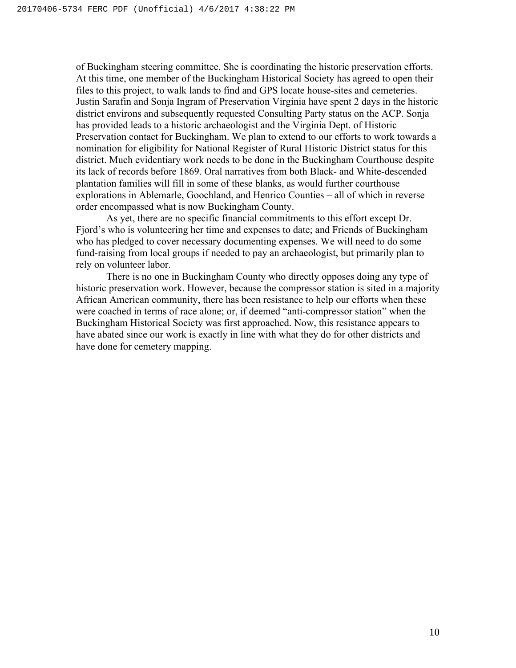of Buckingham steering committee. She is coordinating the historic preservation efforts. At this time, one member of the Buckingham Historical Society has agreed to open their files to this project, to walk lands to find and GPS locate house-sites and cemeteries. Justin Sarafin and Sonja Ingram of Preservation Virginia have spent 2 days in the historic district environs and subsequently requested Consulting Party status on the ACP. Sonja has provided leads to a historic archaeologist and the Virginia Dept. of Historic Preservation contact for Buckingham. We plan to extend to our efforts to work towards a nomination for eligibility for National Register of Rural Historic District status for this district. Much evidentiary work needs to be done in the Buckingham Courthouse despite its lack of records before 1869. Oral narratives from both Black- and White-descended plantation families will fill in some of these blanks, as would further courthouse explorations in Ablemarle, Goochland, and Henrico Counties – all of which in reverse order encompassed what is now Buckingham County.

As yet, there are no specific financial commitments to this effort except Dr. Fjord's who is volunteering her time and expenses to date; and Friends of Buckingham who has pledged to cover necessary documenting expenses. We will need to do some fund-raising from local groups if needed to pay an archaeologist, but primarily plan to rely on volunteer labor.

There is no one in Buckingham County who directly opposes doing any type of historic preservation work. However, because the compressor station is sited in a majority African American community, there has been resistance to help our efforts when these were coached in terms of race alone; or, if deemed "anti-compressor station" when the Buckingham Historical Society was first approached. Now, this resistance appears to have abated since our work is exactly in line with what they do for other districts and have done for cemetery mapping.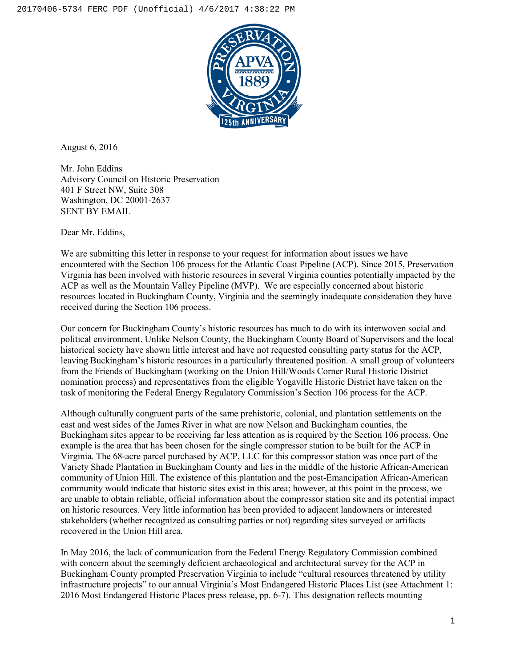

August 6, 2016

Mr. John Eddins Advisory Council on Historic Preservation 401 F Street NW, Suite 308 Washington, DC 20001-2637 SENT BY EMAIL

Dear Mr. Eddins,

We are submitting this letter in response to your request for information about issues we have encountered with the Section 106 process for the Atlantic Coast Pipeline (ACP). Since 2015, Preservation Virginia has been involved with historic resources in several Virginia counties potentially impacted by the ACP as well as the Mountain Valley Pipeline (MVP). We are especially concerned about historic resources located in Buckingham County, Virginia and the seemingly inadequate consideration they have received during the Section 106 process.

Our concern for Buckingham County's historic resources has much to do with its interwoven social and political environment. Unlike Nelson County, the Buckingham County Board of Supervisors and the local historical society have shown little interest and have not requested consulting party status for the ACP, leaving Buckingham's historic resources in a particularly threatened position. A small group of volunteers from the Friends of Buckingham (working on the Union Hill/Woods Corner Rural Historic District nomination process) and representatives from the eligible Yogaville Historic District have taken on the task of monitoring the Federal Energy Regulatory Commission's Section 106 process for the ACP.

Although culturally congruent parts of the same prehistoric, colonial, and plantation settlements on the east and west sides of the James River in what are now Nelson and Buckingham counties, the Buckingham sites appear to be receiving far less attention as is required by the Section 106 process. One example is the area that has been chosen for the single compressor station to be built for the ACP in Virginia. The 68-acre parcel purchased by ACP, LLC for this compressor station was once part of the Variety Shade Plantation in Buckingham County and lies in the middle of the historic African-American community of Union Hill. The existence of this plantation and the post-Emancipation African-American community would indicate that historic sites exist in this area; however, at this point in the process, we are unable to obtain reliable, official information about the compressor station site and its potential impact on historic resources. Very little information has been provided to adjacent landowners or interested stakeholders (whether recognized as consulting parties or not) regarding sites surveyed or artifacts recovered in the Union Hill area.

In May 2016, the lack of communication from the Federal Energy Regulatory Commission combined with concern about the seemingly deficient archaeological and architectural survey for the ACP in Buckingham County prompted Preservation Virginia to include "cultural resources threatened by utility infrastructure projects" to our annual Virginia's Most Endangered Historic Places List (see Attachment 1: 2016 Most Endangered Historic Places press release, pp. 6-7). This designation reflects mounting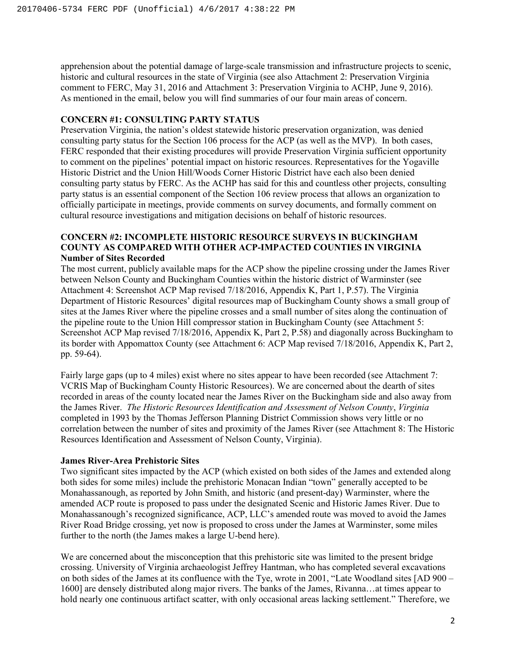apprehension about the potential damage of large-scale transmission and infrastructure projects to scenic, historic and cultural resources in the state of Virginia (see also Attachment 2: Preservation Virginia comment to FERC, May 31, 2016 and Attachment 3: Preservation Virginia to ACHP, June 9, 2016). As mentioned in the email, below you will find summaries of our four main areas of concern.

#### **CONCERN #1: CONSULTING PARTY STATUS**

Preservation Virginia, the nation's oldest statewide historic preservation organization, was denied consulting party status for the Section 106 process for the ACP (as well as the MVP). In both cases, FERC responded that their existing procedures will provide Preservation Virginia sufficient opportunity to comment on the pipelines' potential impact on historic resources. Representatives for the Yogaville Historic District and the Union Hill/Woods Corner Historic District have each also been denied consulting party status by FERC. As the ACHP has said for this and countless other projects, consulting party status is an essential component of the Section 106 review process that allows an organization to officially participate in meetings, provide comments on survey documents, and formally comment on cultural resource investigations and mitigation decisions on behalf of historic resources.

#### **CONCERN #2: INCOMPLETE HISTORIC RESOURCE SURVEYS IN BUCKINGHAM COUNTY AS COMPARED WITH OTHER ACP-IMPACTED COUNTIES IN VIRGINIA Number of Sites Recorded**

The most current, publicly available maps for the ACP show the pipeline crossing under the James River between Nelson County and Buckingham Counties within the historic district of Warminster (see Attachment 4: Screenshot ACP Map revised 7/18/2016, Appendix K, Part 1, P.57). The Virginia Department of Historic Resources' digital resources map of Buckingham County shows a small group of sites at the James River where the pipeline crosses and a small number of sites along the continuation of the pipeline route to the Union Hill compressor station in Buckingham County (see Attachment 5: Screenshot ACP Map revised 7/18/2016, Appendix K, Part 2, P.58) and diagonally across Buckingham to its border with Appomattox County (see Attachment 6: ACP Map revised 7/18/2016, Appendix K, Part 2, pp. 59-64).

Fairly large gaps (up to 4 miles) exist where no sites appear to have been recorded (see Attachment 7: VCRIS Map of Buckingham County Historic Resources). We are concerned about the dearth of sites recorded in areas of the county located near the James River on the Buckingham side and also away from the James River. *The Historic Resources Identification and Assessment of Nelson County*, *Virginia* completed in 1993 by the Thomas Jefferson Planning District Commission shows very little or no correlation between the number of sites and proximity of the James River (see Attachment 8: The Historic Resources Identification and Assessment of Nelson County, Virginia).

#### **James River-Area Prehistoric Sites**

Two significant sites impacted by the ACP (which existed on both sides of the James and extended along both sides for some miles) include the prehistoric Monacan Indian "town" generally accepted to be Monahassanough, as reported by John Smith, and historic (and present-day) Warminster, where the amended ACP route is proposed to pass under the designated Scenic and Historic James River. Due to Monahassanough's recognized significance, ACP, LLC's amended route was moved to avoid the James River Road Bridge crossing, yet now is proposed to cross under the James at Warminster, some miles further to the north (the James makes a large U-bend here).

We are concerned about the misconception that this prehistoric site was limited to the present bridge crossing. University of Virginia archaeologist Jeffrey Hantman, who has completed several excavations on both sides of the James at its confluence with the Tye, wrote in 2001, "Late Woodland sites [AD 900 – 1600] are densely distributed along major rivers. The banks of the James, Rivanna…at times appear to hold nearly one continuous artifact scatter, with only occasional areas lacking settlement." Therefore, we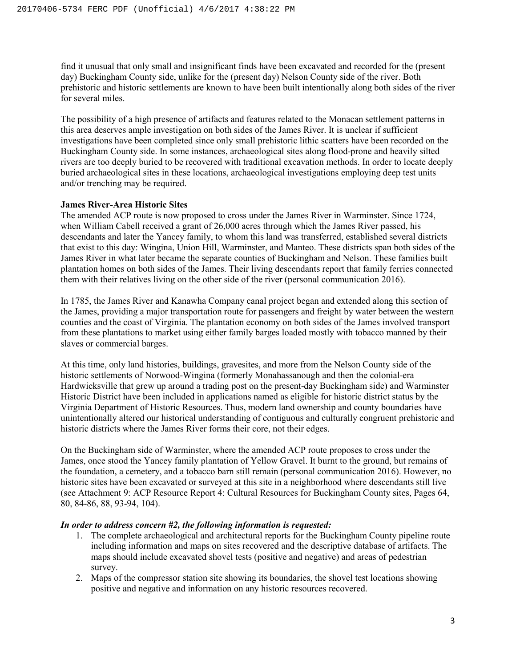find it unusual that only small and insignificant finds have been excavated and recorded for the (present day) Buckingham County side, unlike for the (present day) Nelson County side of the river. Both prehistoric and historic settlements are known to have been built intentionally along both sides of the river for several miles.

The possibility of a high presence of artifacts and features related to the Monacan settlement patterns in this area deserves ample investigation on both sides of the James River. It is unclear if sufficient investigations have been completed since only small prehistoric lithic scatters have been recorded on the Buckingham County side. In some instances, archaeological sites along flood-prone and heavily silted rivers are too deeply buried to be recovered with traditional excavation methods. In order to locate deeply buried archaeological sites in these locations, archaeological investigations employing deep test units and/or trenching may be required.

#### **James River-Area Historic Sites**

The amended ACP route is now proposed to cross under the James River in Warminster. Since 1724, when William Cabell received a grant of 26,000 acres through which the James River passed, his descendants and later the Yancey family, to whom this land was transferred, established several districts that exist to this day: Wingina, Union Hill, Warminster, and Manteo. These districts span both sides of the James River in what later became the separate counties of Buckingham and Nelson. These families built plantation homes on both sides of the James. Their living descendants report that family ferries connected them with their relatives living on the other side of the river (personal communication 2016).

In 1785, the James River and Kanawha Company canal project began and extended along this section of the James, providing a major transportation route for passengers and freight by water between the western counties and the coast of Virginia. The plantation economy on both sides of the James involved transport from these plantations to market using either family barges loaded mostly with tobacco manned by their slaves or commercial barges.

At this time, only land histories, buildings, gravesites, and more from the Nelson County side of the historic settlements of Norwood-Wingina (formerly Monahassanough and then the colonial-era Hardwicksville that grew up around a trading post on the present-day Buckingham side) and Warminster Historic District have been included in applications named as eligible for historic district status by the Virginia Department of Historic Resources. Thus, modern land ownership and county boundaries have unintentionally altered our historical understanding of contiguous and culturally congruent prehistoric and historic districts where the James River forms their core, not their edges.

On the Buckingham side of Warminster, where the amended ACP route proposes to cross under the James, once stood the Yancey family plantation of Yellow Gravel. It burnt to the ground, but remains of the foundation, a cemetery, and a tobacco barn still remain (personal communication 2016). However, no historic sites have been excavated or surveyed at this site in a neighborhood where descendants still live (see Attachment 9: ACP Resource Report 4: Cultural Resources for Buckingham County sites, Pages 64, 80, 84-86, 88, 93-94, 104).

#### *In order to address concern #2, the following information is requested:*

- 1. The complete archaeological and architectural reports for the Buckingham County pipeline route including information and maps on sites recovered and the descriptive database of artifacts. The maps should include excavated shovel tests (positive and negative) and areas of pedestrian survey.
- 2. Maps of the compressor station site showing its boundaries, the shovel test locations showing positive and negative and information on any historic resources recovered.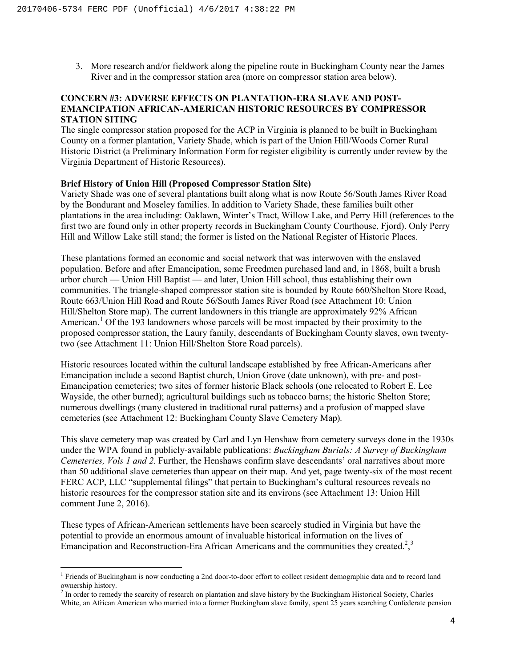3. More research and/or fieldwork along the pipeline route in Buckingham County near the James River and in the compressor station area (more on compressor station area below).

#### **CONCERN #3: ADVERSE EFFECTS ON PLANTATION-ERA SLAVE AND POST-EMANCIPATION AFRICAN-AMERICAN HISTORIC RESOURCES BY COMPRESSOR STATION SITING**

The single compressor station proposed for the ACP in Virginia is planned to be built in Buckingham County on a former plantation, Variety Shade, which is part of the Union Hill/Woods Corner Rural Historic District (a Preliminary Information Form for register eligibility is currently under review by the Virginia Department of Historic Resources).

#### **Brief History of Union Hill (Proposed Compressor Station Site)**

Variety Shade was one of several plantations built along what is now Route 56/South James River Road by the Bondurant and Moseley families. In addition to Variety Shade, these families built other plantations in the area including: Oaklawn, Winter's Tract, Willow Lake, and Perry Hill (references to the first two are found only in other property records in Buckingham County Courthouse, Fjord). Only Perry Hill and Willow Lake still stand; the former is listed on the National Register of Historic Places.

These plantations formed an economic and social network that was interwoven with the enslaved population. Before and after Emancipation, some Freedmen purchased land and, in 1868, built a brush arbor church — Union Hill Baptist — and later, Union Hill school, thus establishing their own communities. The triangle-shaped compressor station site is bounded by Route 660/Shelton Store Road, Route 663/Union Hill Road and Route 56/South James River Road (see Attachment 10: Union Hill/Shelton Store map). The current landowners in this triangle are approximately 92% African American.<sup>[1](#page-29-0)</sup> Of the 193 landowners whose parcels will be most impacted by their proximity to the proposed compressor station, the Laury family, descendants of Buckingham County slaves, own twentytwo (see Attachment 11: Union Hill/Shelton Store Road parcels).

Historic resources located within the cultural landscape established by free African-Americans after Emancipation include a second Baptist church, Union Grove (date unknown), with pre- and post-Emancipation cemeteries; two sites of former historic Black schools (one relocated to Robert E. Lee Wayside, the other burned); agricultural buildings such as tobacco barns; the historic Shelton Store; numerous dwellings (many clustered in traditional rural patterns) and a profusion of mapped slave cemeteries (see Attachment 12: Buckingham County Slave Cemetery Map)*.*

This slave cemetery map was created by Carl and Lyn Henshaw from cemetery surveys done in the 1930s under the WPA found in publicly-available publications: *Buckingham Burials: A Survey of Buckingham Cemeteries, Vols 1 and 2.* Further, the Henshaws confirm slave descendants' oral narratives about more than 50 additional slave cemeteries than appear on their map. And yet, page twenty-six of the most recent FERC ACP, LLC "supplemental filings" that pertain to Buckingham's cultural resources reveals no historic resources for the compressor station site and its environs (see Attachment 13: Union Hill comment June 2, 2016).

These types of African-American settlements have been scarcely studied in Virginia but have the potential to provide an enormous amount of invaluable historical information on the lives of Emancipation and Reconstruction-Era African Americans and the communities they created.<sup>[2](#page-29-1)</sup>,<sup>[3](#page-29-2)</sup>

<span id="page-29-2"></span><span id="page-29-0"></span><sup>&</sup>lt;sup>1</sup> Friends of Buckingham is now conducting a 2nd door-to-door effort to collect resident demographic data and to record land ownership history.

<span id="page-29-1"></span><sup>&</sup>lt;sup>2</sup> In order to remedy the scarcity of research on plantation and slave history by the Buckingham Historical Society, Charles White, an African American who married into a former Buckingham slave family, spent 25 years searching Confederate pension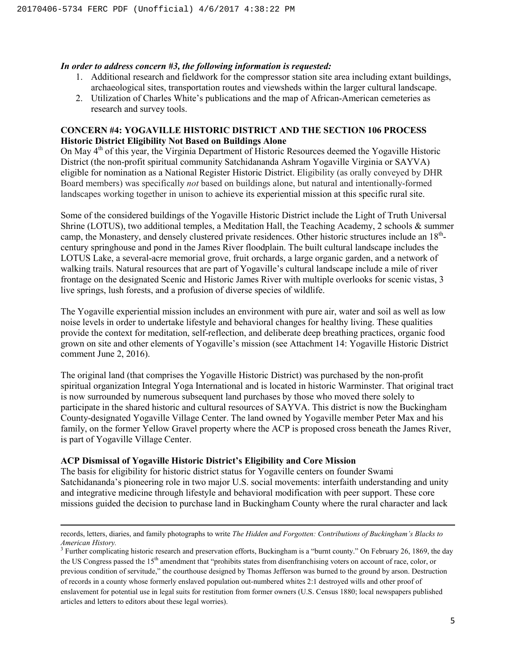#### *In order to address concern #3, the following information is requested:*

- 1. Additional research and fieldwork for the compressor station site area including extant buildings, archaeological sites, transportation routes and viewsheds within the larger cultural landscape.
- 2. Utilization of Charles White's publications and the map of African-American cemeteries as research and survey tools.

## **CONCERN #4: YOGAVILLE HISTORIC DISTRICT AND THE SECTION 106 PROCESS Historic District Eligibility Not Based on Buildings Alone**

On May 4<sup>th</sup> of this year, the Virginia Department of Historic Resources deemed the Yogaville Historic District (the non-profit spiritual community Satchidananda Ashram Yogaville Virginia or SAYVA) eligible for nomination as a National Register Historic District. Eligibility (as orally conveyed by DHR Board members) was specifically *not* based on buildings alone, but natural and intentionally-formed landscapes working together in unison to achieve its experiential mission at this specific rural site.

Some of the considered buildings of the Yogaville Historic District include the Light of Truth Universal Shrine (LOTUS), two additional temples, a Meditation Hall, the Teaching Academy, 2 schools & summer camp, the Monastery, and densely clustered private residences. Other historic structures include an 18<sup>th</sup>century springhouse and pond in the James River floodplain. The built cultural landscape includes the LOTUS Lake, a several-acre memorial grove, fruit orchards, a large organic garden, and a network of walking trails. Natural resources that are part of Yogaville's cultural landscape include a mile of river frontage on the designated Scenic and Historic James River with multiple overlooks for scenic vistas, 3 live springs, lush forests, and a profusion of diverse species of wildlife.

The Yogaville experiential mission includes an environment with pure air, water and soil as well as low noise levels in order to undertake lifestyle and behavioral changes for healthy living. These qualities provide the context for meditation, self-reflection, and deliberate deep breathing practices, organic food grown on site and other elements of Yogaville's mission (see Attachment 14: Yogaville Historic District comment June 2, 2016).

The original land (that comprises the Yogaville Historic District) was purchased by the non-profit spiritual organization Integral Yoga International and is located in historic Warminster. That original tract is now surrounded by numerous subsequent land purchases by those who moved there solely to participate in the shared historic and cultural resources of SAYVA. This district is now the Buckingham County-designated Yogaville Village Center. The land owned by Yogaville member Peter Max and his family, on the former Yellow Gravel property where the ACP is proposed cross beneath the James River, is part of Yogaville Village Center.

#### **ACP Dismissal of Yogaville Historic District's Eligibility and Core Mission**

 $\overline{\phantom{a}}$ 

The basis for eligibility for historic district status for Yogaville centers on founder Swami Satchidananda's pioneering role in two major U.S. social movements: interfaith understanding and unity and integrative medicine through lifestyle and behavioral modification with peer support. These core missions guided the decision to purchase land in Buckingham County where the rural character and lack

records, letters, diaries, and family photographs to write *The Hidden and Forgotten: Contributions of Buckingham's Blacks to American History.*

<sup>&</sup>lt;sup>3</sup> Further complicating historic research and preservation efforts, Buckingham is a "burnt county." On February 26, 1869, the day the US Congress passed the 15<sup>th</sup> amendment that "prohibits states from disenfranchising voters on account of race, color, or previous condition of servitude," the courthouse designed by Thomas Jefferson was burned to the ground by arson. Destruction of records in a county whose formerly enslaved population out-numbered whites 2:1 destroyed wills and other proof of enslavement for potential use in legal suits for restitution from former owners (U.S. Census 1880; local newspapers published articles and letters to editors about these legal worries).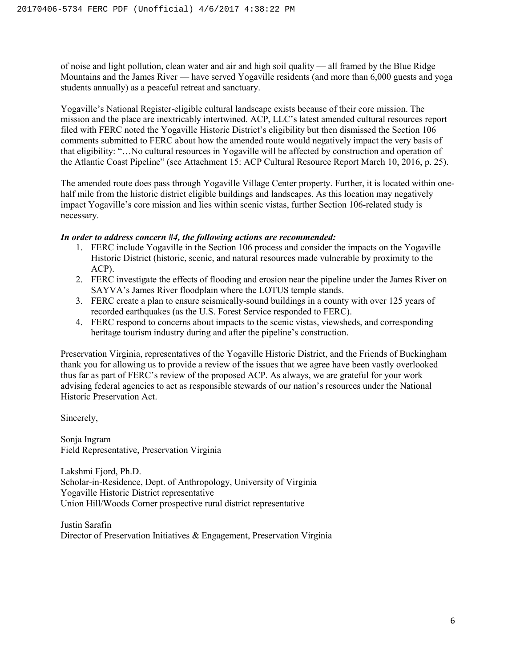of noise and light pollution, clean water and air and high soil quality — all framed by the Blue Ridge Mountains and the James River — have served Yogaville residents (and more than 6,000 guests and yoga students annually) as a peaceful retreat and sanctuary.

Yogaville's National Register-eligible cultural landscape exists because of their core mission. The mission and the place are inextricably intertwined. ACP, LLC's latest amended cultural resources report filed with FERC noted the Yogaville Historic District's eligibility but then dismissed the Section 106 comments submitted to FERC about how the amended route would negatively impact the very basis of that eligibility: "…No cultural resources in Yogaville will be affected by construction and operation of the Atlantic Coast Pipeline" (see Attachment 15: ACP Cultural Resource Report March 10, 2016, p. 25).

The amended route does pass through Yogaville Village Center property. Further, it is located within onehalf mile from the historic district eligible buildings and landscapes. As this location may negatively impact Yogaville's core mission and lies within scenic vistas, further Section 106-related study is necessary.

#### *In order to address concern #4, the following actions are recommended:*

- 1. FERC include Yogaville in the Section 106 process and consider the impacts on the Yogaville Historic District (historic, scenic, and natural resources made vulnerable by proximity to the ACP).
- 2. FERC investigate the effects of flooding and erosion near the pipeline under the James River on SAYVA's James River floodplain where the LOTUS temple stands.
- 3. FERC create a plan to ensure seismically-sound buildings in a county with over 125 years of recorded earthquakes (as the U.S. Forest Service responded to FERC).
- 4. FERC respond to concerns about impacts to the scenic vistas, viewsheds, and corresponding heritage tourism industry during and after the pipeline's construction.

Preservation Virginia, representatives of the Yogaville Historic District, and the Friends of Buckingham thank you for allowing us to provide a review of the issues that we agree have been vastly overlooked thus far as part of FERC's review of the proposed ACP. As always, we are grateful for your work advising federal agencies to act as responsible stewards of our nation's resources under the National Historic Preservation Act.

Sincerely,

Sonja Ingram Field Representative, Preservation Virginia

Lakshmi Fjord, Ph.D. Scholar-in-Residence, Dept. of Anthropology, University of Virginia Yogaville Historic District representative Union Hill/Woods Corner prospective rural district representative

Justin Sarafin Director of Preservation Initiatives & Engagement, Preservation Virginia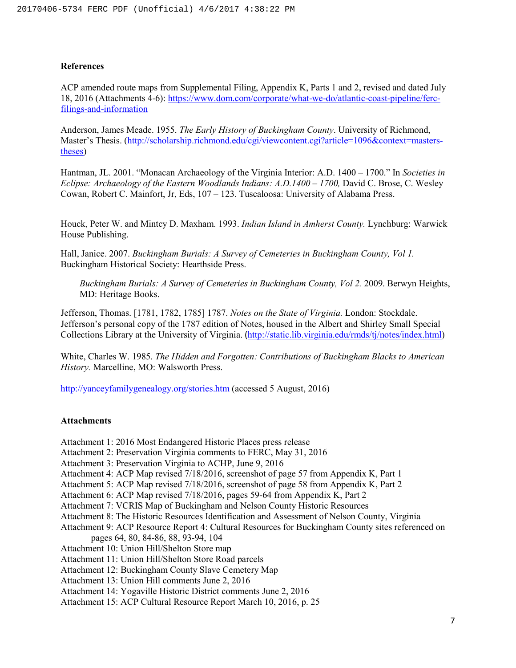#### **References**

ACP amended route maps from Supplemental Filing, Appendix K, Parts 1 and 2, revised and dated July 18, 2016 (Attachments 4-6): [https://www.dom.com/corporate/what-we-do/atlantic-coast-pipeline/ferc](https://www.dom.com/corporate/what-we-do/atlantic-coast-pipeline/ferc-filings-and-information)[filings-and-information](https://www.dom.com/corporate/what-we-do/atlantic-coast-pipeline/ferc-filings-and-information)

Anderson, James Meade. 1955. *The Early History of Buckingham County*. University of Richmond, Master's Thesis. [\(http://scholarship.richmond.edu/cgi/viewcontent.cgi?article=1096&context=masters](http://scholarship.richmond.edu/cgi/viewcontent.cgi?article=1096&context=masters-theses)[theses\)](http://scholarship.richmond.edu/cgi/viewcontent.cgi?article=1096&context=masters-theses)

Hantman, JL. 2001. "Monacan Archaeology of the Virginia Interior: A.D. 1400 – 1700." In *Societies in Eclipse: Archaeology of the Eastern Woodlands Indians: A.D.1400 – 1700,* David C. Brose, C. Wesley Cowan, Robert C. Mainfort, Jr, Eds, 107 – 123. Tuscaloosa: University of Alabama Press.

Houck, Peter W. and Mintcy D. Maxham. 1993. *Indian Island in Amherst County.* Lynchburg: Warwick House Publishing.

Hall, Janice. 2007. *Buckingham Burials: A Survey of Cemeteries in Buckingham County, Vol 1.*  Buckingham Historical Society: Hearthside Press.

*Buckingham Burials: A Survey of Cemeteries in Buckingham County, Vol 2. 2009. Berwyn Heights,* MD: Heritage Books.

Jefferson, Thomas. [1781, 1782, 1785] 1787. *Notes on the State of Virginia.* London: Stockdale. Jefferson's personal copy of the 1787 edition of Notes, housed in the Albert and Shirley Small Special Collections Library at the University of Virginia. ([http://static.lib.virginia.edu/rmds/tj/notes/index.html\)](http://static.lib.virginia.edu/rmds/tj/notes/index.html)

White, Charles W. 1985. *The Hidden and Forgotten: Contributions of Buckingham Blacks to American History.* Marcelline, MO: Walsworth Press.

<http://yanceyfamilygenealogy.org/stories.htm> (accessed 5 August, 2016)

#### **Attachments**

- Attachment 1: 2016 Most Endangered Historic Places press release
- Attachment 2: Preservation Virginia comments to FERC, May 31, 2016
- Attachment 3: Preservation Virginia to ACHP, June 9, 2016
- Attachment 4: ACP Map revised 7/18/2016, screenshot of page 57 from Appendix K, Part 1
- Attachment 5: ACP Map revised 7/18/2016, screenshot of page 58 from Appendix K, Part 2
- Attachment 6: ACP Map revised 7/18/2016, pages 59-64 from Appendix K, Part 2
- Attachment 7: VCRIS Map of Buckingham and Nelson County Historic Resources
- Attachment 8: The Historic Resources Identification and Assessment of Nelson County, Virginia
- Attachment 9: ACP Resource Report 4: Cultural Resources for Buckingham County sites referenced on pages 64, 80, 84-86, 88, 93-94, 104
- Attachment 10: Union Hill/Shelton Store map
- Attachment 11: Union Hill/Shelton Store Road parcels
- Attachment 12: Buckingham County Slave Cemetery Map
- Attachment 13: Union Hill comments June 2, 2016
- Attachment 14: Yogaville Historic District comments June 2, 2016
- Attachment 15: ACP Cultural Resource Report March 10, 2016, p. 25